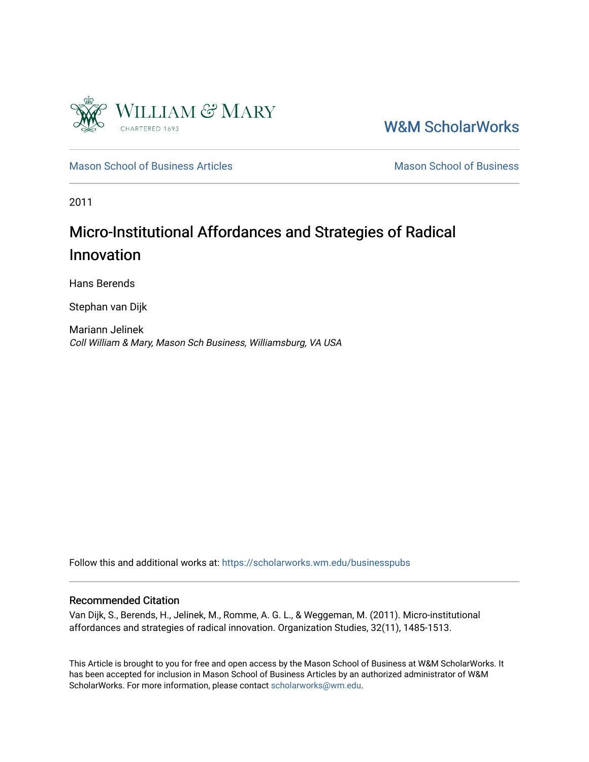

[W&M ScholarWorks](https://scholarworks.wm.edu/) 

[Mason School of Business Articles](https://scholarworks.wm.edu/businesspubs) [Mason School of Business](https://scholarworks.wm.edu/business) Mason School of Business

2011

# Micro-Institutional Affordances and Strategies of Radical Innovation

Hans Berends

Stephan van Dijk

Mariann Jelinek Coll William & Mary, Mason Sch Business, Williamsburg, VA USA

Follow this and additional works at: [https://scholarworks.wm.edu/businesspubs](https://scholarworks.wm.edu/businesspubs?utm_source=scholarworks.wm.edu%2Fbusinesspubs%2F9&utm_medium=PDF&utm_campaign=PDFCoverPages) 

## Recommended Citation

Van Dijk, S., Berends, H., Jelinek, M., Romme, A. G. L., & Weggeman, M. (2011). Micro-institutional affordances and strategies of radical innovation. Organization Studies, 32(11), 1485-1513.

This Article is brought to you for free and open access by the Mason School of Business at W&M ScholarWorks. It has been accepted for inclusion in Mason School of Business Articles by an authorized administrator of W&M ScholarWorks. For more information, please contact [scholarworks@wm.edu.](mailto:scholarworks@wm.edu)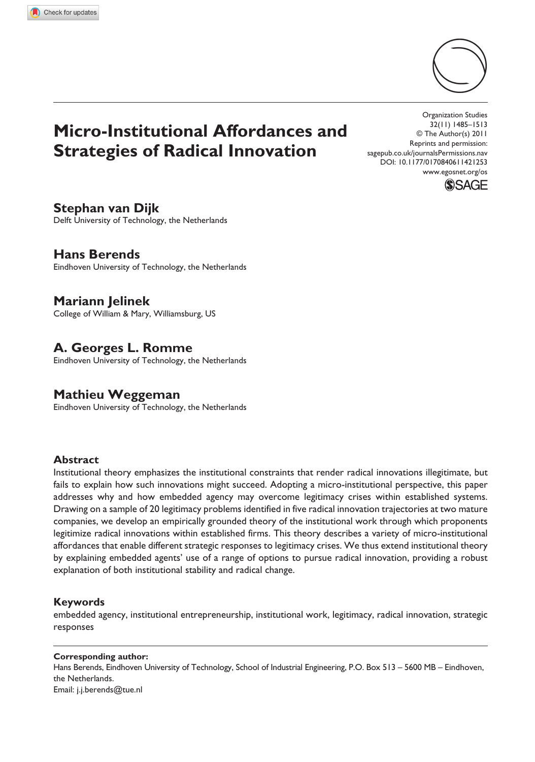

# **Micro-Institutional Affordances and Strategies of Radical Innovation**

Organization Studies 32(11) 1485–1513 © The Author(s) 2011 Reprints and permission: sagepub.co.uk/journalsPermissions.nav DOI: 10.1177/0170840611421253 www.egosnet.org/os



# **Stephan van Dijk**

Delft University of Technology, the Netherlands

# **Hans Berends**

Eindhoven University of Technology, the Netherlands

## **Mariann Jelinek**

College of William & Mary, Williamsburg, US

# **A. Georges L. Romme**

Eindhoven University of Technology, the Netherlands

## **Mathieu Weggeman**

Eindhoven University of Technology, the Netherlands

#### **Abstract**

Institutional theory emphasizes the institutional constraints that render radical innovations illegitimate, but fails to explain how such innovations might succeed. Adopting a micro-institutional perspective, this paper addresses why and how embedded agency may overcome legitimacy crises within established systems. Drawing on a sample of 20 legitimacy problems identified in five radical innovation trajectories at two mature companies, we develop an empirically grounded theory of the institutional work through which proponents legitimize radical innovations within established firms. This theory describes a variety of micro-institutional affordances that enable different strategic responses to legitimacy crises. We thus extend institutional theory by explaining embedded agents' use of a range of options to pursue radical innovation, providing a robust explanation of both institutional stability and radical change.

### **Keywords**

embedded agency, institutional entrepreneurship, institutional work, legitimacy, radical innovation, strategic responses

#### **Corresponding author:**

Hans Berends, Eindhoven University of Technology, School of Industrial Engineering, P.O. Box 513 – 5600 MB – Eindhoven, the Netherlands. Email: j.j.berends@tue.nl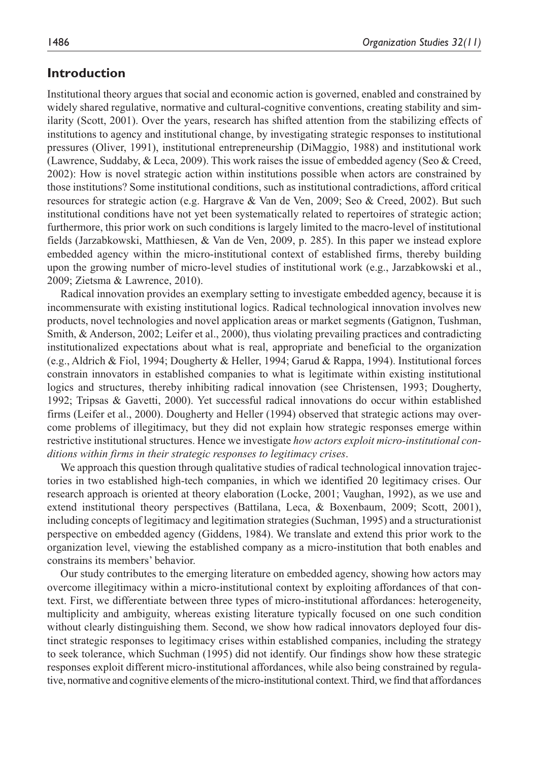## **Introduction**

Institutional theory argues that social and economic action is governed, enabled and constrained by widely shared regulative, normative and cultural-cognitive conventions, creating stability and similarity (Scott, 2001). Over the years, research has shifted attention from the stabilizing effects of institutions to agency and institutional change, by investigating strategic responses to institutional pressures (Oliver, 1991), institutional entrepreneurship (DiMaggio, 1988) and institutional work (Lawrence, Suddaby, & Leca, 2009). This work raises the issue of embedded agency (Seo & Creed, 2002): How is novel strategic action within institutions possible when actors are constrained by those institutions? Some institutional conditions, such as institutional contradictions, afford critical resources for strategic action (e.g. Hargrave & Van de Ven, 2009; Seo & Creed, 2002). But such institutional conditions have not yet been systematically related to repertoires of strategic action; furthermore, this prior work on such conditions is largely limited to the macro-level of institutional fields (Jarzabkowski, Matthiesen, & Van de Ven, 2009, p. 285). In this paper we instead explore embedded agency within the micro-institutional context of established firms, thereby building upon the growing number of micro-level studies of institutional work (e.g., Jarzabkowski et al., 2009; Zietsma & Lawrence, 2010).

Radical innovation provides an exemplary setting to investigate embedded agency, because it is incommensurate with existing institutional logics. Radical technological innovation involves new products, novel technologies and novel application areas or market segments (Gatignon, Tushman, Smith, & Anderson, 2002; Leifer et al., 2000), thus violating prevailing practices and contradicting institutionalized expectations about what is real, appropriate and beneficial to the organization (e.g., Aldrich & Fiol, 1994; Dougherty & Heller, 1994; Garud & Rappa, 1994). Institutional forces constrain innovators in established companies to what is legitimate within existing institutional logics and structures, thereby inhibiting radical innovation (see Christensen, 1993; Dougherty, 1992; Tripsas & Gavetti, 2000). Yet successful radical innovations do occur within established firms (Leifer et al., 2000). Dougherty and Heller (1994) observed that strategic actions may overcome problems of illegitimacy, but they did not explain how strategic responses emerge within restrictive institutional structures. Hence we investigate *how actors exploit micro-institutional conditions within firms in their strategic responses to legitimacy crises*.

We approach this question through qualitative studies of radical technological innovation trajectories in two established high-tech companies, in which we identified 20 legitimacy crises. Our research approach is oriented at theory elaboration (Locke, 2001; Vaughan, 1992), as we use and extend institutional theory perspectives (Battilana, Leca, & Boxenbaum, 2009; Scott, 2001), including concepts of legitimacy and legitimation strategies (Suchman, 1995) and a structurationist perspective on embedded agency (Giddens, 1984). We translate and extend this prior work to the organization level, viewing the established company as a micro-institution that both enables and constrains its members' behavior.

Our study contributes to the emerging literature on embedded agency, showing how actors may overcome illegitimacy within a micro-institutional context by exploiting affordances of that context. First, we differentiate between three types of micro-institutional affordances: heterogeneity, multiplicity and ambiguity, whereas existing literature typically focused on one such condition without clearly distinguishing them. Second, we show how radical innovators deployed four distinct strategic responses to legitimacy crises within established companies, including the strategy to seek tolerance, which Suchman (1995) did not identify. Our findings show how these strategic responses exploit different micro-institutional affordances, while also being constrained by regulative, normative and cognitive elements of the micro-institutional context. Third, we find that affordances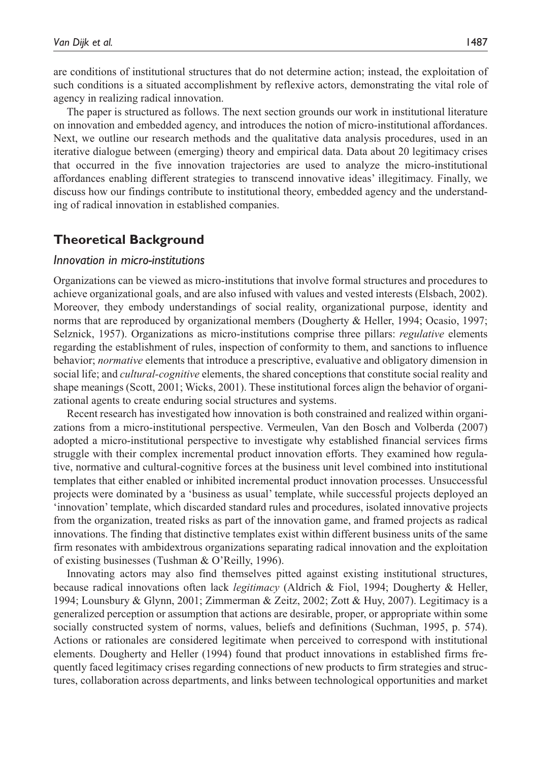are conditions of institutional structures that do not determine action; instead, the exploitation of such conditions is a situated accomplishment by reflexive actors, demonstrating the vital role of agency in realizing radical innovation.

The paper is structured as follows. The next section grounds our work in institutional literature on innovation and embedded agency, and introduces the notion of micro-institutional affordances. Next, we outline our research methods and the qualitative data analysis procedures, used in an iterative dialogue between (emerging) theory and empirical data. Data about 20 legitimacy crises that occurred in the five innovation trajectories are used to analyze the micro-institutional affordances enabling different strategies to transcend innovative ideas' illegitimacy. Finally, we discuss how our findings contribute to institutional theory, embedded agency and the understanding of radical innovation in established companies.

## **Theoretical Background**

#### *Innovation in micro-institutions*

Organizations can be viewed as micro-institutions that involve formal structures and procedures to achieve organizational goals, and are also infused with values and vested interests (Elsbach, 2002). Moreover, they embody understandings of social reality, organizational purpose, identity and norms that are reproduced by organizational members (Dougherty & Heller, 1994; Ocasio, 1997; Selznick, 1957). Organizations as micro-institutions comprise three pillars: *regulative* elements regarding the establishment of rules, inspection of conformity to them, and sanctions to influence behavior; *normative* elements that introduce a prescriptive, evaluative and obligatory dimension in social life; and *cultural-cognitive* elements, the shared conceptions that constitute social reality and shape meanings (Scott, 2001; Wicks, 2001). These institutional forces align the behavior of organizational agents to create enduring social structures and systems.

Recent research has investigated how innovation is both constrained and realized within organizations from a micro-institutional perspective. Vermeulen, Van den Bosch and Volberda (2007) adopted a micro-institutional perspective to investigate why established financial services firms struggle with their complex incremental product innovation efforts. They examined how regulative, normative and cultural-cognitive forces at the business unit level combined into institutional templates that either enabled or inhibited incremental product innovation processes. Unsuccessful projects were dominated by a 'business as usual' template, while successful projects deployed an 'innovation' template, which discarded standard rules and procedures, isolated innovative projects from the organization, treated risks as part of the innovation game, and framed projects as radical innovations. The finding that distinctive templates exist within different business units of the same firm resonates with ambidextrous organizations separating radical innovation and the exploitation of existing businesses (Tushman & O'Reilly, 1996).

Innovating actors may also find themselves pitted against existing institutional structures, because radical innovations often lack *legitimacy* (Aldrich & Fiol, 1994; Dougherty & Heller, 1994; Lounsbury & Glynn, 2001; Zimmerman & Zeitz, 2002; Zott & Huy, 2007). Legitimacy is a generalized perception or assumption that actions are desirable, proper, or appropriate within some socially constructed system of norms, values, beliefs and definitions (Suchman, 1995, p. 574). Actions or rationales are considered legitimate when perceived to correspond with institutional elements. Dougherty and Heller (1994) found that product innovations in established firms frequently faced legitimacy crises regarding connections of new products to firm strategies and structures, collaboration across departments, and links between technological opportunities and market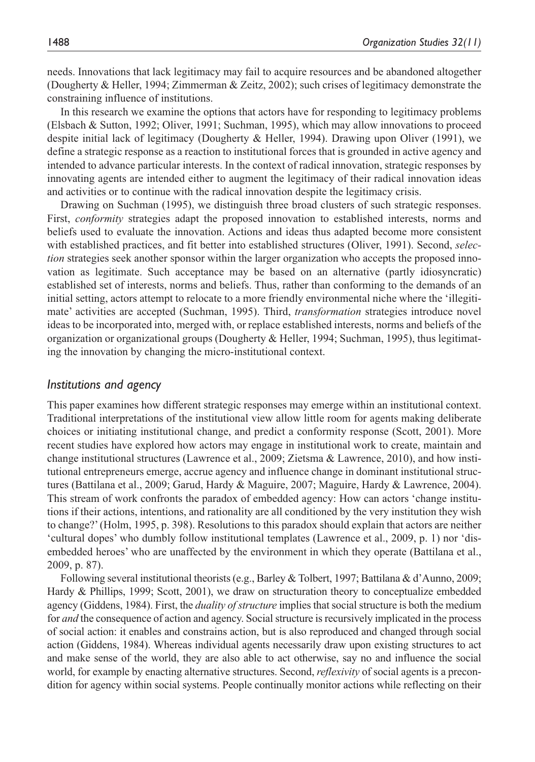needs. Innovations that lack legitimacy may fail to acquire resources and be abandoned altogether (Dougherty & Heller, 1994; Zimmerman & Zeitz, 2002); such crises of legitimacy demonstrate the constraining influence of institutions.

In this research we examine the options that actors have for responding to legitimacy problems (Elsbach & Sutton, 1992; Oliver, 1991; Suchman, 1995), which may allow innovations to proceed despite initial lack of legitimacy (Dougherty & Heller, 1994). Drawing upon Oliver (1991), we define a strategic response as a reaction to institutional forces that is grounded in active agency and intended to advance particular interests. In the context of radical innovation, strategic responses by innovating agents are intended either to augment the legitimacy of their radical innovation ideas and activities or to continue with the radical innovation despite the legitimacy crisis.

Drawing on Suchman (1995), we distinguish three broad clusters of such strategic responses. First, *conformity* strategies adapt the proposed innovation to established interests, norms and beliefs used to evaluate the innovation. Actions and ideas thus adapted become more consistent with established practices, and fit better into established structures (Oliver, 1991). Second, *selection* strategies seek another sponsor within the larger organization who accepts the proposed innovation as legitimate. Such acceptance may be based on an alternative (partly idiosyncratic) established set of interests, norms and beliefs. Thus, rather than conforming to the demands of an initial setting, actors attempt to relocate to a more friendly environmental niche where the 'illegitimate' activities are accepted (Suchman, 1995). Third, *transformation* strategies introduce novel ideas to be incorporated into, merged with, or replace established interests, norms and beliefs of the organization or organizational groups (Dougherty & Heller, 1994; Suchman, 1995), thus legitimating the innovation by changing the micro-institutional context.

#### *Institutions and agency*

This paper examines how different strategic responses may emerge within an institutional context. Traditional interpretations of the institutional view allow little room for agents making deliberate choices or initiating institutional change, and predict a conformity response (Scott, 2001). More recent studies have explored how actors may engage in institutional work to create, maintain and change institutional structures (Lawrence et al., 2009; Zietsma & Lawrence, 2010), and how institutional entrepreneurs emerge, accrue agency and influence change in dominant institutional structures (Battilana et al., 2009; Garud, Hardy & Maguire, 2007; Maguire, Hardy & Lawrence, 2004). This stream of work confronts the paradox of embedded agency: How can actors 'change institutions if their actions, intentions, and rationality are all conditioned by the very institution they wish to change?' (Holm, 1995, p. 398). Resolutions to this paradox should explain that actors are neither 'cultural dopes' who dumbly follow institutional templates (Lawrence et al., 2009, p. 1) nor 'disembedded heroes' who are unaffected by the environment in which they operate (Battilana et al., 2009, p. 87).

Following several institutional theorists (e.g., Barley & Tolbert, 1997; Battilana & d'Aunno, 2009; Hardy & Phillips, 1999; Scott, 2001), we draw on structuration theory to conceptualize embedded agency (Giddens, 1984). First, the *duality of structure* implies that social structure is both the medium for *and* the consequence of action and agency. Social structure is recursively implicated in the process of social action: it enables and constrains action, but is also reproduced and changed through social action (Giddens, 1984). Whereas individual agents necessarily draw upon existing structures to act and make sense of the world, they are also able to act otherwise, say no and influence the social world, for example by enacting alternative structures. Second, *reflexivity* of social agents is a precondition for agency within social systems. People continually monitor actions while reflecting on their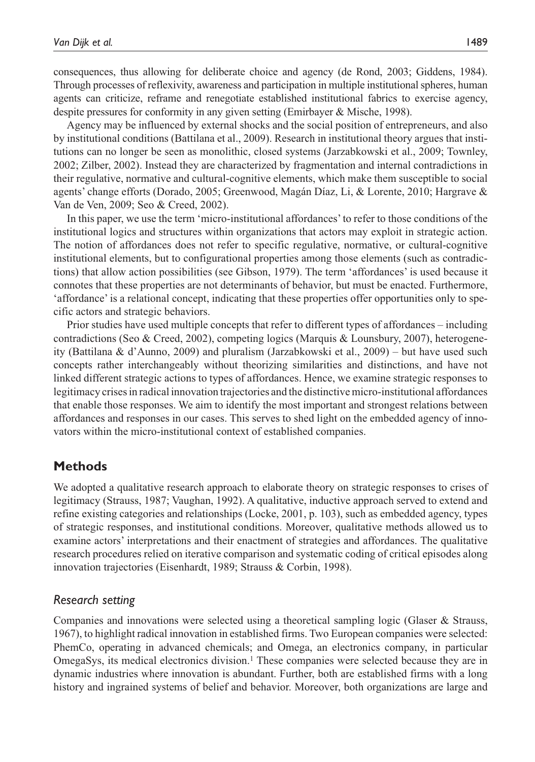consequences, thus allowing for deliberate choice and agency (de Rond, 2003; Giddens, 1984). Through processes of reflexivity, awareness and participation in multiple institutional spheres, human agents can criticize, reframe and renegotiate established institutional fabrics to exercise agency, despite pressures for conformity in any given setting (Emirbayer & Mische, 1998).

Agency may be influenced by external shocks and the social position of entrepreneurs, and also by institutional conditions (Battilana et al., 2009). Research in institutional theory argues that institutions can no longer be seen as monolithic, closed systems (Jarzabkowski et al., 2009; Townley, 2002; Zilber, 2002). Instead they are characterized by fragmentation and internal contradictions in their regulative, normative and cultural-cognitive elements, which make them susceptible to social agents' change efforts (Dorado, 2005; Greenwood, Magán Díaz, Li, & Lorente, 2010; Hargrave & Van de Ven, 2009; Seo & Creed, 2002).

In this paper, we use the term 'micro-institutional affordances' to refer to those conditions of the institutional logics and structures within organizations that actors may exploit in strategic action. The notion of affordances does not refer to specific regulative, normative, or cultural-cognitive institutional elements, but to configurational properties among those elements (such as contradictions) that allow action possibilities (see Gibson, 1979). The term 'affordances' is used because it connotes that these properties are not determinants of behavior, but must be enacted. Furthermore, 'affordance' is a relational concept, indicating that these properties offer opportunities only to specific actors and strategic behaviors.

Prior studies have used multiple concepts that refer to different types of affordances – including contradictions (Seo & Creed, 2002), competing logics (Marquis & Lounsbury, 2007), heterogeneity (Battilana & d'Aunno, 2009) and pluralism (Jarzabkowski et al., 2009) – but have used such concepts rather interchangeably without theorizing similarities and distinctions, and have not linked different strategic actions to types of affordances. Hence, we examine strategic responses to legitimacy crises in radical innovation trajectories and the distinctive micro-institutional affordances that enable those responses. We aim to identify the most important and strongest relations between affordances and responses in our cases. This serves to shed light on the embedded agency of innovators within the micro-institutional context of established companies.

## **Methods**

We adopted a qualitative research approach to elaborate theory on strategic responses to crises of legitimacy (Strauss, 1987; Vaughan, 1992). A qualitative, inductive approach served to extend and refine existing categories and relationships (Locke, 2001, p. 103), such as embedded agency, types of strategic responses, and institutional conditions. Moreover, qualitative methods allowed us to examine actors' interpretations and their enactment of strategies and affordances. The qualitative research procedures relied on iterative comparison and systematic coding of critical episodes along innovation trajectories (Eisenhardt, 1989; Strauss & Corbin, 1998).

## *Research setting*

Companies and innovations were selected using a theoretical sampling logic (Glaser & Strauss, 1967), to highlight radical innovation in established firms. Two European companies were selected: PhemCo, operating in advanced chemicals; and Omega, an electronics company, in particular OmegaSys, its medical electronics division.<sup>1</sup> These companies were selected because they are in dynamic industries where innovation is abundant. Further, both are established firms with a long history and ingrained systems of belief and behavior. Moreover, both organizations are large and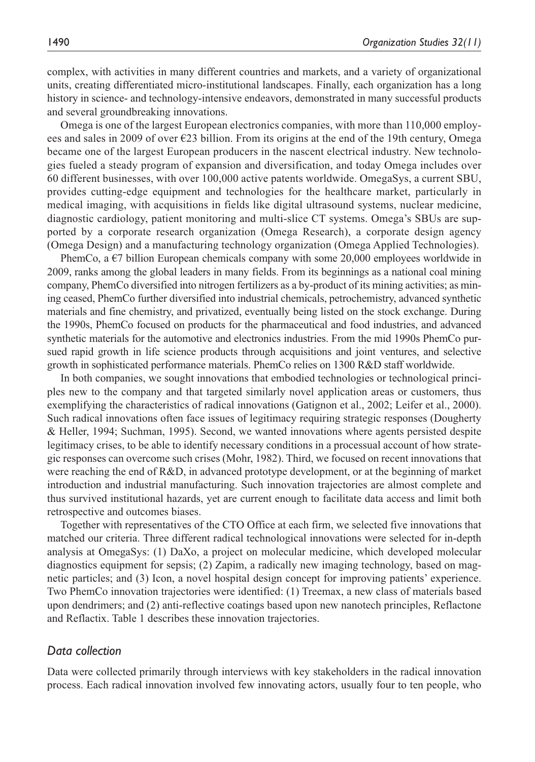complex, with activities in many different countries and markets, and a variety of organizational units, creating differentiated micro-institutional landscapes. Finally, each organization has a long history in science- and technology-intensive endeavors, demonstrated in many successful products and several groundbreaking innovations.

Omega is one of the largest European electronics companies, with more than 110,000 employees and sales in 2009 of over €23 billion. From its origins at the end of the 19th century, Omega became one of the largest European producers in the nascent electrical industry. New technologies fueled a steady program of expansion and diversification, and today Omega includes over 60 different businesses, with over 100,000 active patents worldwide. OmegaSys, a current SBU, provides cutting-edge equipment and technologies for the healthcare market, particularly in medical imaging, with acquisitions in fields like digital ultrasound systems, nuclear medicine, diagnostic cardiology, patient monitoring and multi-slice CT systems. Omega's SBUs are supported by a corporate research organization (Omega Research), a corporate design agency (Omega Design) and a manufacturing technology organization (Omega Applied Technologies).

PhemCo, a  $\epsilon$ 7 billion European chemicals company with some 20,000 employees worldwide in 2009, ranks among the global leaders in many fields. From its beginnings as a national coal mining company, PhemCo diversified into nitrogen fertilizers as a by-product of its mining activities; as mining ceased, PhemCo further diversified into industrial chemicals, petrochemistry, advanced synthetic materials and fine chemistry, and privatized, eventually being listed on the stock exchange. During the 1990s, PhemCo focused on products for the pharmaceutical and food industries, and advanced synthetic materials for the automotive and electronics industries. From the mid 1990s PhemCo pursued rapid growth in life science products through acquisitions and joint ventures, and selective growth in sophisticated performance materials. PhemCo relies on 1300 R&D staff worldwide.

In both companies, we sought innovations that embodied technologies or technological principles new to the company and that targeted similarly novel application areas or customers, thus exemplifying the characteristics of radical innovations (Gatignon et al., 2002; Leifer et al., 2000). Such radical innovations often face issues of legitimacy requiring strategic responses (Dougherty & Heller, 1994; Suchman, 1995). Second, we wanted innovations where agents persisted despite legitimacy crises, to be able to identify necessary conditions in a processual account of how strategic responses can overcome such crises (Mohr, 1982). Third, we focused on recent innovations that were reaching the end of R&D, in advanced prototype development, or at the beginning of market introduction and industrial manufacturing. Such innovation trajectories are almost complete and thus survived institutional hazards, yet are current enough to facilitate data access and limit both retrospective and outcomes biases.

Together with representatives of the CTO Office at each firm, we selected five innovations that matched our criteria. Three different radical technological innovations were selected for in-depth analysis at OmegaSys: (1) DaXo, a project on molecular medicine, which developed molecular diagnostics equipment for sepsis; (2) Zapim, a radically new imaging technology, based on magnetic particles; and (3) Icon, a novel hospital design concept for improving patients' experience. Two PhemCo innovation trajectories were identified: (1) Treemax, a new class of materials based upon dendrimers; and (2) anti-reflective coatings based upon new nanotech principles, Reflactone and Reflactix. Table 1 describes these innovation trajectories.

#### *Data collection*

Data were collected primarily through interviews with key stakeholders in the radical innovation process. Each radical innovation involved few innovating actors, usually four to ten people, who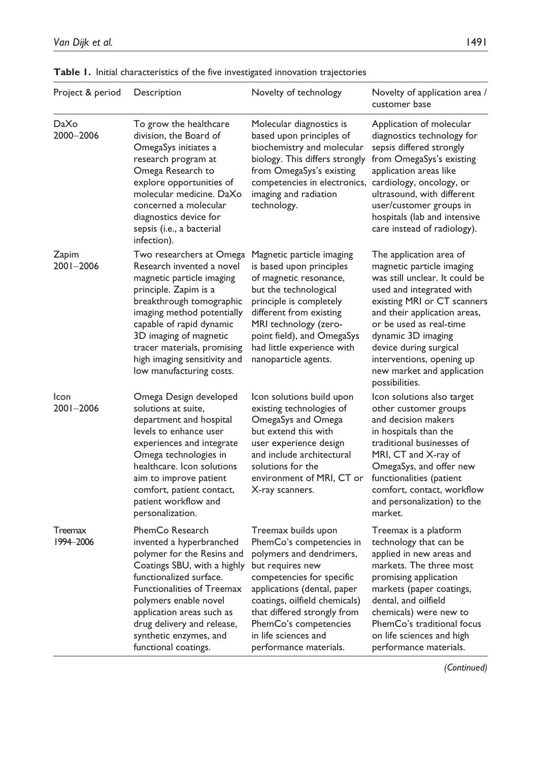| Project & period     | Description                                                                                                                                                                                                                                                                                                            | Novelty of technology                                                                                                                                                                                                                                                                                  | Novelty of application area /<br>customer base                                                                                                                                                                                                                                                                                            |
|----------------------|------------------------------------------------------------------------------------------------------------------------------------------------------------------------------------------------------------------------------------------------------------------------------------------------------------------------|--------------------------------------------------------------------------------------------------------------------------------------------------------------------------------------------------------------------------------------------------------------------------------------------------------|-------------------------------------------------------------------------------------------------------------------------------------------------------------------------------------------------------------------------------------------------------------------------------------------------------------------------------------------|
| DaXo<br>2000-2006    | To grow the healthcare<br>division, the Board of<br>OmegaSys initiates a<br>research program at<br>Omega Research to<br>explore opportunities of<br>molecular medicine. DaXo<br>concerned a molecular<br>diagnostics device for<br>sepsis (i.e., a bacterial<br>infection).                                            | Molecular diagnostics is<br>based upon principles of<br>biochemistry and molecular<br>biology. This differs strongly<br>from OmegaSys's existing<br>competencies in electronics,<br>imaging and radiation<br>technology.                                                                               | Application of molecular<br>diagnostics technology for<br>sepsis differed strongly<br>from OmegaSys's existing<br>application areas like<br>cardiology, oncology, or<br>ultrasound, with different<br>user/customer groups in<br>hospitals (lab and intensive<br>care instead of radiology).                                              |
| Zapim<br>2001-2006   | Two researchers at Omega<br>Research invented a novel<br>magnetic particle imaging<br>principle. Zapim is a<br>breakthrough tomographic<br>imaging method potentially<br>capable of rapid dynamic<br>3D imaging of magnetic<br>tracer materials, promising<br>high imaging sensitivity and<br>low manufacturing costs. | Magnetic particle imaging<br>is based upon principles<br>of magnetic resonance,<br>but the technological<br>principle is completely<br>different from existing<br>MRI technology (zero-<br>point field), and OmegaSys<br>had little experience with<br>nanoparticle agents.                            | The application area of<br>magnetic particle imaging<br>was still unclear. It could be<br>used and integrated with<br>existing MRI or CT scanners<br>and their application areas,<br>or be used as real-time<br>dynamic 3D imaging<br>device during surgical<br>interventions, opening up<br>new market and application<br>possibilities. |
| Icon<br>2001-2006    | Omega Design developed<br>solutions at suite,<br>department and hospital<br>levels to enhance user<br>experiences and integrate<br>Omega technologies in<br>healthcare. Icon solutions<br>aim to improve patient<br>comfort, patient contact,<br>patient workflow and<br>personalization.                              | Icon solutions build upon<br>existing technologies of<br>OmegaSys and Omega<br>but extend this with<br>user experience design<br>and include architectural<br>solutions for the<br>environment of MRI, CT or<br>X-ray scanners.                                                                        | Icon solutions also target<br>other customer groups<br>and decision makers<br>in hospitals than the<br>traditional businesses of<br>MRI, CT and X-ray of<br>OmegaSys, and offer new<br>functionalities (patient<br>comfort, contact, workflow<br>and personalization) to the<br>market.                                                   |
| Treemax<br>1994-2006 | PhemCo Research<br>invented a hyperbranched<br>polymer for the Resins and<br>Coatings SBU, with a highly<br>functionalized surface.<br><b>Functionalities of Treemax</b><br>polymers enable novel<br>application areas such as<br>drug delivery and release,<br>synthetic enzymes, and<br>functional coatings.         | Treemax builds upon<br>PhemCo's competencies in<br>polymers and dendrimers,<br>but requires new<br>competencies for specific<br>applications (dental, paper<br>coatings, oilfield chemicals)<br>that differed strongly from<br>PhemCo's competencies<br>in life sciences and<br>performance materials. | Treemax is a platform<br>technology that can be<br>applied in new areas and<br>markets. The three most<br>promising application<br>markets (paper coatings,<br>dental, and oilfield<br>chemicals) were new to<br>PhemCo's traditional focus<br>on life sciences and high<br>performance materials.                                        |

#### **Table 1.** Initial characteristics of the five investigated innovation trajectories

*(Continued)*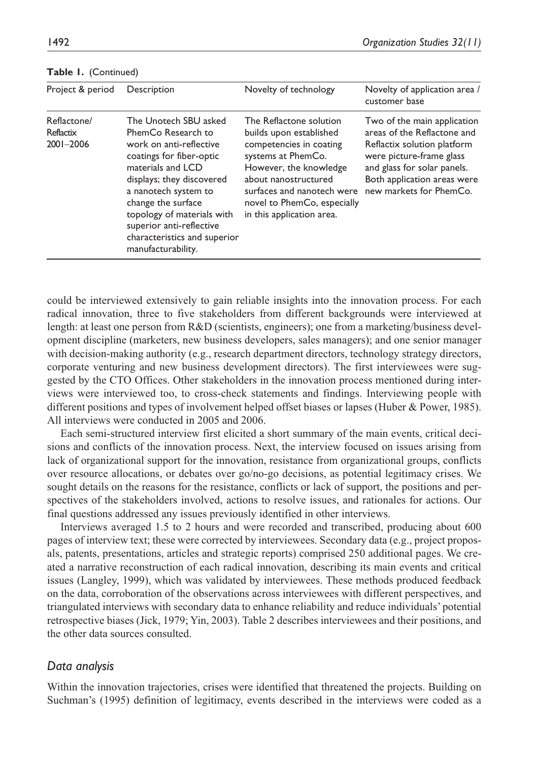| Project & period                          | Description                                                                                                                                                                                                                                                                                                        | Novelty of technology                                                                                                                                                                                                                           | Novelty of application area /<br>customer base                                                                                                                                                                 |
|-------------------------------------------|--------------------------------------------------------------------------------------------------------------------------------------------------------------------------------------------------------------------------------------------------------------------------------------------------------------------|-------------------------------------------------------------------------------------------------------------------------------------------------------------------------------------------------------------------------------------------------|----------------------------------------------------------------------------------------------------------------------------------------------------------------------------------------------------------------|
| Reflactone/<br>Reflactix<br>$2001 - 2006$ | The Unotech SBU asked<br>PhemCo Research to<br>work on anti-reflective<br>coatings for fiber-optic<br>materials and LCD<br>displays; they discovered<br>a nanotech system to<br>change the surface<br>topology of materials with<br>superior anti-reflective<br>characteristics and superior<br>manufacturability. | The Reflactone solution<br>builds upon established<br>competencies in coating<br>systems at PhemCo.<br>However, the knowledge<br>about nanostructured<br>surfaces and nanotech were<br>novel to PhemCo, especially<br>in this application area. | Two of the main application<br>areas of the Reflactone and<br>Reflactix solution platform<br>were picture-frame glass<br>and glass for solar panels.<br>Both application areas were<br>new markets for PhemCo. |

#### **Table 1.** (Continued)

could be interviewed extensively to gain reliable insights into the innovation process. For each radical innovation, three to five stakeholders from different backgrounds were interviewed at length: at least one person from R&D (scientists, engineers); one from a marketing/business development discipline (marketers, new business developers, sales managers); and one senior manager with decision-making authority (e.g., research department directors, technology strategy directors, corporate venturing and new business development directors). The first interviewees were suggested by the CTO Offices. Other stakeholders in the innovation process mentioned during interviews were interviewed too, to cross-check statements and findings. Interviewing people with different positions and types of involvement helped offset biases or lapses (Huber & Power, 1985). All interviews were conducted in 2005 and 2006.

Each semi-structured interview first elicited a short summary of the main events, critical decisions and conflicts of the innovation process. Next, the interview focused on issues arising from lack of organizational support for the innovation, resistance from organizational groups, conflicts over resource allocations, or debates over go/no-go decisions, as potential legitimacy crises. We sought details on the reasons for the resistance, conflicts or lack of support, the positions and perspectives of the stakeholders involved, actions to resolve issues, and rationales for actions. Our final questions addressed any issues previously identified in other interviews.

Interviews averaged 1.5 to 2 hours and were recorded and transcribed, producing about 600 pages of interview text; these were corrected by interviewees. Secondary data (e.g., project proposals, patents, presentations, articles and strategic reports) comprised 250 additional pages. We created a narrative reconstruction of each radical innovation, describing its main events and critical issues (Langley, 1999), which was validated by interviewees. These methods produced feedback on the data, corroboration of the observations across interviewees with different perspectives, and triangulated interviews with secondary data to enhance reliability and reduce individuals' potential retrospective biases (Jick, 1979; Yin, 2003). Table 2 describes interviewees and their positions, and the other data sources consulted.

### *Data analysis*

Within the innovation trajectories, crises were identified that threatened the projects. Building on Suchman's (1995) definition of legitimacy, events described in the interviews were coded as a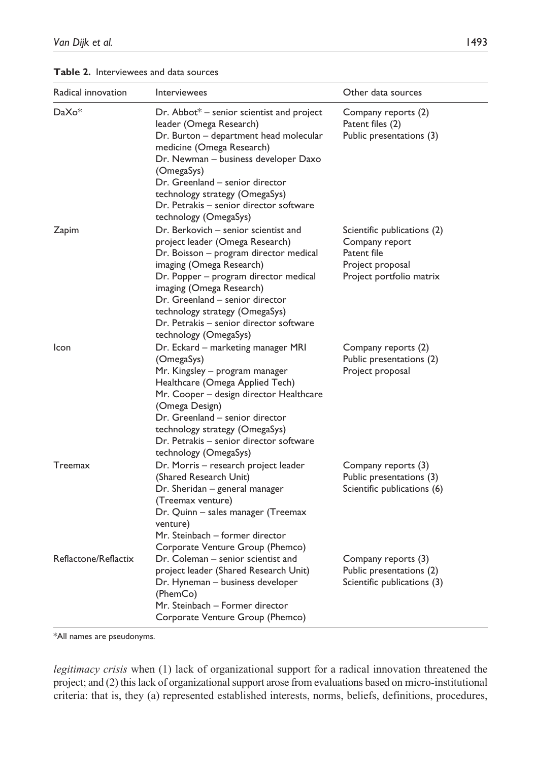#### **Table 2.** Interviewees and data sources

| Radical innovation   | Interviewees                                                                                                                                                                                                                                                                                                                                                | Other data sources                                                                                           |
|----------------------|-------------------------------------------------------------------------------------------------------------------------------------------------------------------------------------------------------------------------------------------------------------------------------------------------------------------------------------------------------------|--------------------------------------------------------------------------------------------------------------|
| DaXo*                | Dr. Abbot $*$ – senior scientist and project<br>leader (Omega Research)<br>Dr. Burton - department head molecular<br>medicine (Omega Research)<br>Dr. Newman – business developer Daxo<br>(OmegaSys)<br>Dr. Greenland - senior director<br>technology strategy (OmegaSys)<br>Dr. Petrakis - senior director software<br>technology (OmegaSys)               | Company reports (2)<br>Patent files (2)<br>Public presentations (3)                                          |
| Zapim                | Dr. Berkovich – senior scientist and<br>project leader (Omega Research)<br>Dr. Boisson – program director medical<br>imaging (Omega Research)<br>Dr. Popper - program director medical<br>imaging (Omega Research)<br>Dr. Greenland – senior director<br>technology strategy (OmegaSys)<br>Dr. Petrakis – senior director software<br>technology (OmegaSys) | Scientific publications (2)<br>Company report<br>Patent file<br>Project proposal<br>Project portfolio matrix |
| Icon                 | Dr. Eckard - marketing manager MRI<br>(OmegaSys)<br>Mr. Kingsley – program manager<br>Healthcare (Omega Applied Tech)<br>Mr. Cooper - design director Healthcare<br>(Omega Design)<br>Dr. Greenland - senior director<br>technology strategy (OmegaSys)<br>Dr. Petrakis - senior director software<br>technology (OmegaSys)                                 | Company reports (2)<br>Public presentations (2)<br>Project proposal                                          |
| Treemax              | Dr. Morris - research project leader<br>(Shared Research Unit)<br>Dr. Sheridan - general manager<br>(Treemax venture)<br>Dr. Quinn - sales manager (Treemax<br>venture)<br>Mr. Steinbach – former director<br>Corporate Venture Group (Phemco)                                                                                                              | Company reports (3)<br>Public presentations (3)<br>Scientific publications (6)                               |
| Reflactone/Reflactix | Dr. Coleman – senior scientist and<br>project leader (Shared Research Unit)<br>Dr. Hyneman - business developer<br>(PhemCo)<br>Mr. Steinbach – Former director<br>Corporate Venture Group (Phemco)                                                                                                                                                          | Company reports (3)<br>Public presentations (2)<br>Scientific publications (3)                               |

\*All names are pseudonyms.

*legitimacy crisis* when (1) lack of organizational support for a radical innovation threatened the project; and (2) this lack of organizational support arose from evaluations based on micro-institutional criteria: that is, they (a) represented established interests, norms, beliefs, definitions, procedures,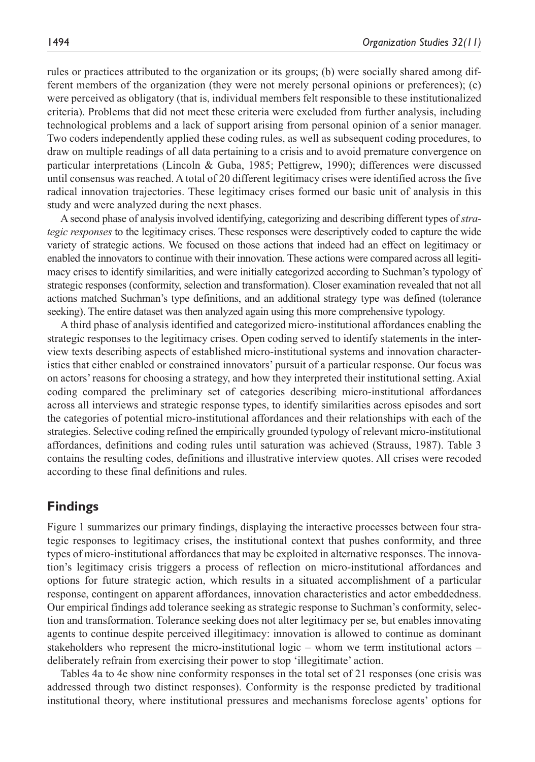rules or practices attributed to the organization or its groups; (b) were socially shared among different members of the organization (they were not merely personal opinions or preferences); (c) were perceived as obligatory (that is, individual members felt responsible to these institutionalized criteria). Problems that did not meet these criteria were excluded from further analysis, including technological problems and a lack of support arising from personal opinion of a senior manager. Two coders independently applied these coding rules, as well as subsequent coding procedures, to draw on multiple readings of all data pertaining to a crisis and to avoid premature convergence on particular interpretations (Lincoln & Guba, 1985; Pettigrew, 1990); differences were discussed until consensus was reached. A total of 20 different legitimacy crises were identified across the five radical innovation trajectories. These legitimacy crises formed our basic unit of analysis in this study and were analyzed during the next phases.

A second phase of analysis involved identifying, categorizing and describing different types of *strategic responses* to the legitimacy crises. These responses were descriptively coded to capture the wide variety of strategic actions. We focused on those actions that indeed had an effect on legitimacy or enabled the innovators to continue with their innovation. These actions were compared across all legitimacy crises to identify similarities, and were initially categorized according to Suchman's typology of strategic responses (conformity, selection and transformation). Closer examination revealed that not all actions matched Suchman's type definitions, and an additional strategy type was defined (tolerance seeking). The entire dataset was then analyzed again using this more comprehensive typology.

A third phase of analysis identified and categorized micro-institutional affordances enabling the strategic responses to the legitimacy crises. Open coding served to identify statements in the interview texts describing aspects of established micro-institutional systems and innovation characteristics that either enabled or constrained innovators' pursuit of a particular response. Our focus was on actors' reasons for choosing a strategy, and how they interpreted their institutional setting. Axial coding compared the preliminary set of categories describing micro-institutional affordances across all interviews and strategic response types, to identify similarities across episodes and sort the categories of potential micro-institutional affordances and their relationships with each of the strategies. Selective coding refined the empirically grounded typology of relevant micro-institutional affordances, definitions and coding rules until saturation was achieved (Strauss, 1987). Table 3 contains the resulting codes, definitions and illustrative interview quotes. All crises were recoded according to these final definitions and rules.

## **Findings**

Figure 1 summarizes our primary findings, displaying the interactive processes between four strategic responses to legitimacy crises, the institutional context that pushes conformity, and three types of micro-institutional affordances that may be exploited in alternative responses. The innovation's legitimacy crisis triggers a process of reflection on micro-institutional affordances and options for future strategic action, which results in a situated accomplishment of a particular response, contingent on apparent affordances, innovation characteristics and actor embeddedness. Our empirical findings add tolerance seeking as strategic response to Suchman's conformity, selection and transformation. Tolerance seeking does not alter legitimacy per se, but enables innovating agents to continue despite perceived illegitimacy: innovation is allowed to continue as dominant stakeholders who represent the micro-institutional logic – whom we term institutional actors – deliberately refrain from exercising their power to stop 'illegitimate' action.

Tables 4a to 4e show nine conformity responses in the total set of 21 responses (one crisis was addressed through two distinct responses). Conformity is the response predicted by traditional institutional theory, where institutional pressures and mechanisms foreclose agents' options for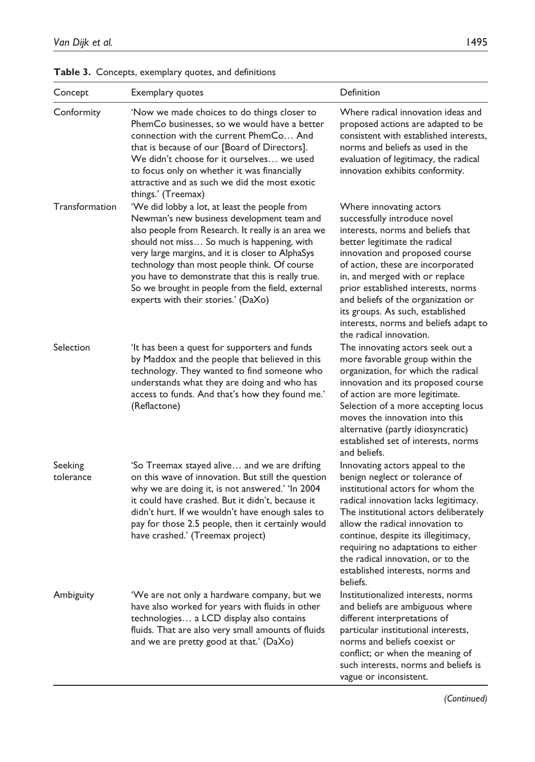| Concept              | Exemplary quotes                                                                                                                                                                                                                                                                                                                                                                                                                                    | Definition                                                                                                                                                                                                                                                                                                                                                                                                                 |
|----------------------|-----------------------------------------------------------------------------------------------------------------------------------------------------------------------------------------------------------------------------------------------------------------------------------------------------------------------------------------------------------------------------------------------------------------------------------------------------|----------------------------------------------------------------------------------------------------------------------------------------------------------------------------------------------------------------------------------------------------------------------------------------------------------------------------------------------------------------------------------------------------------------------------|
| Conformity           | 'Now we made choices to do things closer to<br>PhemCo businesses, so we would have a better<br>connection with the current PhemCo And<br>that is because of our [Board of Directors].<br>We didn't choose for it ourselves we used<br>to focus only on whether it was financially<br>attractive and as such we did the most exotic<br>things.' (Treemax)                                                                                            | Where radical innovation ideas and<br>proposed actions are adapted to be<br>consistent with established interests,<br>norms and beliefs as used in the<br>evaluation of legitimacy, the radical<br>innovation exhibits conformity.                                                                                                                                                                                         |
| Transformation       | 'We did lobby a lot, at least the people from<br>Newman's new business development team and<br>also people from Research. It really is an area we<br>should not miss So much is happening, with<br>very large margins, and it is closer to AlphaSys<br>technology than most people think. Of course<br>you have to demonstrate that this is really true.<br>So we brought in people from the field, external<br>experts with their stories.' (DaXo) | Where innovating actors<br>successfully introduce novel<br>interests, norms and beliefs that<br>better legitimate the radical<br>innovation and proposed course<br>of action, these are incorporated<br>in, and merged with or replace<br>prior established interests, norms<br>and beliefs of the organization or<br>its groups. As such, established<br>interests, norms and beliefs adapt to<br>the radical innovation. |
| Selection            | 'It has been a quest for supporters and funds<br>by Maddox and the people that believed in this<br>technology. They wanted to find someone who<br>understands what they are doing and who has<br>access to funds. And that's how they found me.'<br>(Reflactone)                                                                                                                                                                                    | The innovating actors seek out a<br>more favorable group within the<br>organization, for which the radical<br>innovation and its proposed course<br>of action are more legitimate.<br>Selection of a more accepting locus<br>moves the innovation into this<br>alternative (partly idiosyncratic)<br>established set of interests, norms<br>and beliefs.                                                                   |
| Seeking<br>tolerance | 'So Treemax stayed alive and we are drifting<br>on this wave of innovation. But still the question<br>why we are doing it, is not answered.' 'In 2004<br>it could have crashed. But it didn't, because it<br>didn't hurt. If we wouldn't have enough sales to<br>pay for those 2.5 people, then it certainly would<br>have crashed.' (Treemax project)                                                                                              | Innovating actors appeal to the<br>benign neglect or tolerance of<br>institutional actors for whom the<br>radical innovation lacks legitimacy.<br>The institutional actors deliberately<br>allow the radical innovation to<br>continue, despite its illegitimacy,<br>requiring no adaptations to either<br>the radical innovation, or to the<br>established interests, norms and<br>beliefs.                               |
| Ambiguity            | 'We are not only a hardware company, but we<br>have also worked for years with fluids in other<br>technologies a LCD display also contains<br>fluids. That are also very small amounts of fluids<br>and we are pretty good at that.' (DaXo)                                                                                                                                                                                                         | Institutionalized interests, norms<br>and beliefs are ambiguous where<br>different interpretations of<br>particular institutional interests,<br>norms and beliefs coexist or<br>conflict; or when the meaning of<br>such interests, norms and beliefs is<br>vague or inconsistent.                                                                                                                                         |

**Table 3.** Concepts, exemplary quotes, and definitions

*(Continued)*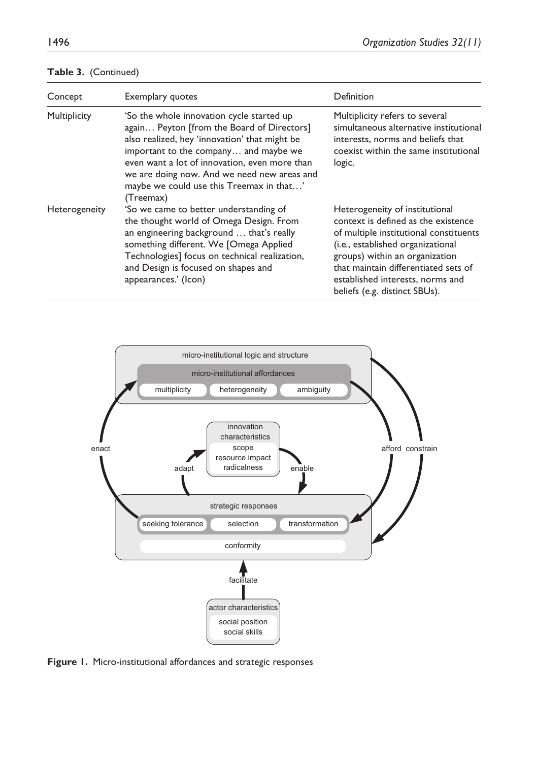| Concept              | Exemplary quotes                                                                                                                                                                                                                                                                                                                           | Definition                                                                                                                                                                                                                                                                                          |
|----------------------|--------------------------------------------------------------------------------------------------------------------------------------------------------------------------------------------------------------------------------------------------------------------------------------------------------------------------------------------|-----------------------------------------------------------------------------------------------------------------------------------------------------------------------------------------------------------------------------------------------------------------------------------------------------|
| Multiplicity         | 'So the whole innovation cycle started up<br>again Peyton [from the Board of Directors]<br>also realized, hey 'innovation' that might be<br>important to the company and maybe we<br>even want a lot of innovation, even more than<br>we are doing now. And we need new areas and<br>maybe we could use this Treemax in that'<br>(Treemax) | Multiplicity refers to several<br>simultaneous alternative institutional<br>interests, norms and beliefs that<br>coexist within the same institutional<br>logic.                                                                                                                                    |
| <b>Heterogeneity</b> | 'So we came to better understanding of<br>the thought world of Omega Design. From<br>an engineering background  that's really<br>something different. We [Omega Applied<br>Technologies] focus on technical realization,<br>and Design is focused on shapes and<br>appearances.' (Icon)                                                    | Heterogeneity of institutional<br>context is defined as the existence<br>of multiple institutional constituents<br>(i.e., established organizational<br>groups) within an organization<br>that maintain differentiated sets of<br>established interests, norms and<br>beliefs (e.g. distinct SBUs). |

## **Table 3.** (Continued)



**Figure 1.** Micro-institutional affordances and strategic responses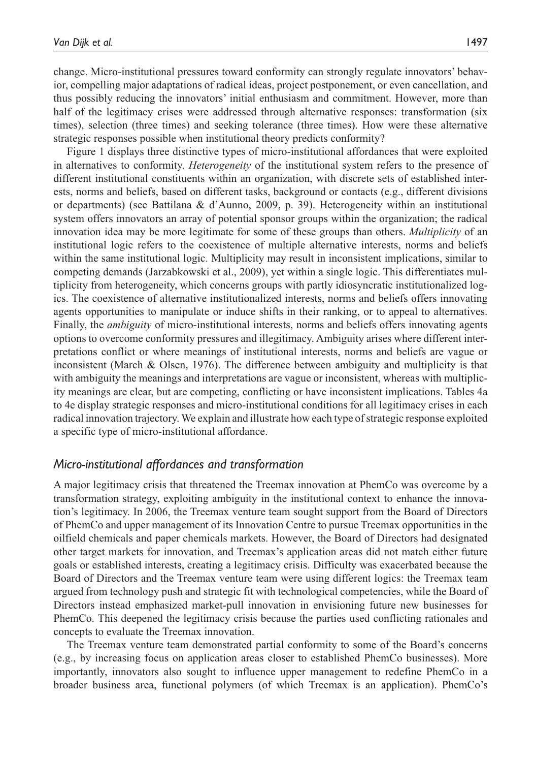change. Micro-institutional pressures toward conformity can strongly regulate innovators' behavior, compelling major adaptations of radical ideas, project postponement, or even cancellation, and thus possibly reducing the innovators' initial enthusiasm and commitment. However, more than half of the legitimacy crises were addressed through alternative responses: transformation (six times), selection (three times) and seeking tolerance (three times). How were these alternative strategic responses possible when institutional theory predicts conformity?

Figure 1 displays three distinctive types of micro-institutional affordances that were exploited in alternatives to conformity. *Heterogeneity* of the institutional system refers to the presence of different institutional constituents within an organization, with discrete sets of established interests, norms and beliefs, based on different tasks, background or contacts (e.g., different divisions or departments) (see Battilana & d'Aunno, 2009, p. 39). Heterogeneity within an institutional system offers innovators an array of potential sponsor groups within the organization; the radical innovation idea may be more legitimate for some of these groups than others. *Multiplicity* of an institutional logic refers to the coexistence of multiple alternative interests, norms and beliefs within the same institutional logic. Multiplicity may result in inconsistent implications, similar to competing demands (Jarzabkowski et al., 2009), yet within a single logic. This differentiates multiplicity from heterogeneity, which concerns groups with partly idiosyncratic institutionalized logics. The coexistence of alternative institutionalized interests, norms and beliefs offers innovating agents opportunities to manipulate or induce shifts in their ranking, or to appeal to alternatives. Finally, the *ambiguity* of micro-institutional interests, norms and beliefs offers innovating agents options to overcome conformity pressures and illegitimacy. Ambiguity arises where different interpretations conflict or where meanings of institutional interests, norms and beliefs are vague or inconsistent (March & Olsen, 1976). The difference between ambiguity and multiplicity is that with ambiguity the meanings and interpretations are vague or inconsistent, whereas with multiplicity meanings are clear, but are competing, conflicting or have inconsistent implications. Tables 4a to 4e display strategic responses and micro-institutional conditions for all legitimacy crises in each radical innovation trajectory. We explain and illustrate how each type of strategic response exploited a specific type of micro-institutional affordance.

### *Micro-institutional affordances and transformation*

A major legitimacy crisis that threatened the Treemax innovation at PhemCo was overcome by a transformation strategy, exploiting ambiguity in the institutional context to enhance the innovation's legitimacy. In 2006, the Treemax venture team sought support from the Board of Directors of PhemCo and upper management of its Innovation Centre to pursue Treemax opportunities in the oilfield chemicals and paper chemicals markets. However, the Board of Directors had designated other target markets for innovation, and Treemax's application areas did not match either future goals or established interests, creating a legitimacy crisis. Difficulty was exacerbated because the Board of Directors and the Treemax venture team were using different logics: the Treemax team argued from technology push and strategic fit with technological competencies, while the Board of Directors instead emphasized market-pull innovation in envisioning future new businesses for PhemCo. This deepened the legitimacy crisis because the parties used conflicting rationales and concepts to evaluate the Treemax innovation.

The Treemax venture team demonstrated partial conformity to some of the Board's concerns (e.g., by increasing focus on application areas closer to established PhemCo businesses). More importantly, innovators also sought to influence upper management to redefine PhemCo in a broader business area, functional polymers (of which Treemax is an application). PhemCo's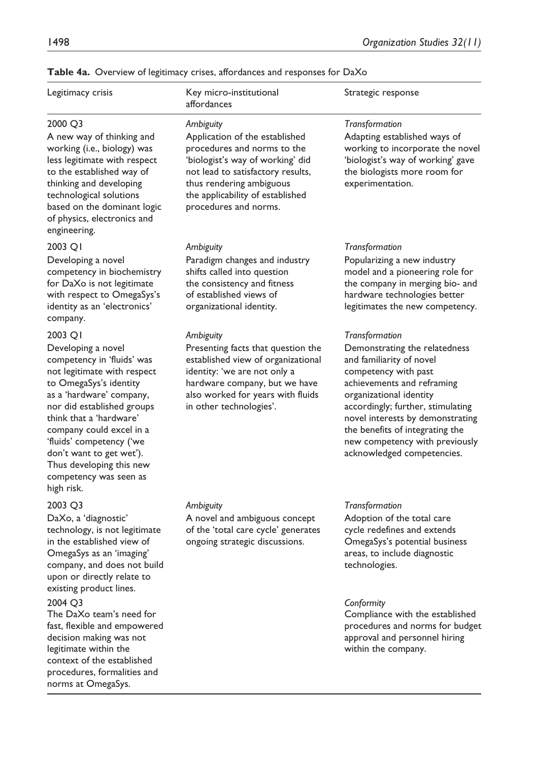| Legitimacy crisis                                                                                                                                                                                                                                                                                                                                                 | Key micro-institutional<br>affordances                                                                                                                                                                                                       | Strategic response                                                                                                                                                                                                                                                                                                                       |
|-------------------------------------------------------------------------------------------------------------------------------------------------------------------------------------------------------------------------------------------------------------------------------------------------------------------------------------------------------------------|----------------------------------------------------------------------------------------------------------------------------------------------------------------------------------------------------------------------------------------------|------------------------------------------------------------------------------------------------------------------------------------------------------------------------------------------------------------------------------------------------------------------------------------------------------------------------------------------|
| 2000 Q3<br>A new way of thinking and<br>working (i.e., biology) was<br>less legitimate with respect<br>to the established way of<br>thinking and developing<br>technological solutions<br>based on the dominant logic<br>of physics, electronics and<br>engineering.                                                                                              | Ambiguity<br>Application of the established<br>procedures and norms to the<br>'biologist's way of working' did<br>not lead to satisfactory results,<br>thus rendering ambiguous<br>the applicability of established<br>procedures and norms. | <b>Transformation</b><br>Adapting established ways of<br>working to incorporate the novel<br>'biologist's way of working' gave<br>the biologists more room for<br>experimentation.                                                                                                                                                       |
| 2003 QI<br>Developing a novel<br>competency in biochemistry<br>for DaXo is not legitimate<br>with respect to OmegaSys's<br>identity as an 'electronics'<br>company.                                                                                                                                                                                               | Ambiguity<br>Paradigm changes and industry<br>shifts called into question<br>the consistency and fitness<br>of established views of<br>organizational identity.                                                                              | <b>Transformation</b><br>Popularizing a new industry<br>model and a pioneering role for<br>the company in merging bio- and<br>hardware technologies better<br>legitimates the new competency.                                                                                                                                            |
| 2003 QI<br>Developing a novel<br>competency in 'fluids' was<br>not legitimate with respect<br>to OmegaSys's identity<br>as a 'hardware' company,<br>nor did established groups<br>think that a 'hardware'<br>company could excel in a<br>'fluids' competency ('we<br>don't want to get wet').<br>Thus developing this new<br>competency was seen as<br>high risk. | Ambiguity<br>Presenting facts that question the<br>established view of organizational<br>identity: 'we are not only a<br>hardware company, but we have<br>also worked for years with fluids<br>in other technologies'.                       | Transformation<br>Demonstrating the relatedness<br>and familiarity of novel<br>competency with past<br>achievements and reframing<br>organizational identity<br>accordingly; further, stimulating<br>novel interests by demonstrating<br>the benefits of integrating the<br>new competency with previously<br>acknowledged competencies. |
| 2003 Q3<br>DaXo, a 'diagnostic'<br>technology, is not legitimate<br>in the established view of<br>OmegaSys as an 'imaging'                                                                                                                                                                                                                                        | Ambiguity<br>A novel and ambiguous concept<br>of the 'total care cycle' generates<br>ongoing strategic discussions.                                                                                                                          | <b>Transformation</b><br>Adoption of the total care<br>cycle redefines and extends<br>OmegaSys's potential business<br>areas, to include diagnostic                                                                                                                                                                                      |

|  | Table 4a. Overview of legitimacy crises, affordances and responses for DaX |  |  |  |
|--|----------------------------------------------------------------------------|--|--|--|
|  |                                                                            |  |  |  |

areas, to include diagnostic technologies.

#### 2004 Q3 *Conformity*

Compliance with the established procedures and norms for budget approval and personnel hiring within the company.

company, and does not build upon or directly relate to existing product lines.

The DaXo team's need for fast, flexible and empowered decision making was not legitimate within the context of the established procedures, formalities and norms at OmegaSys.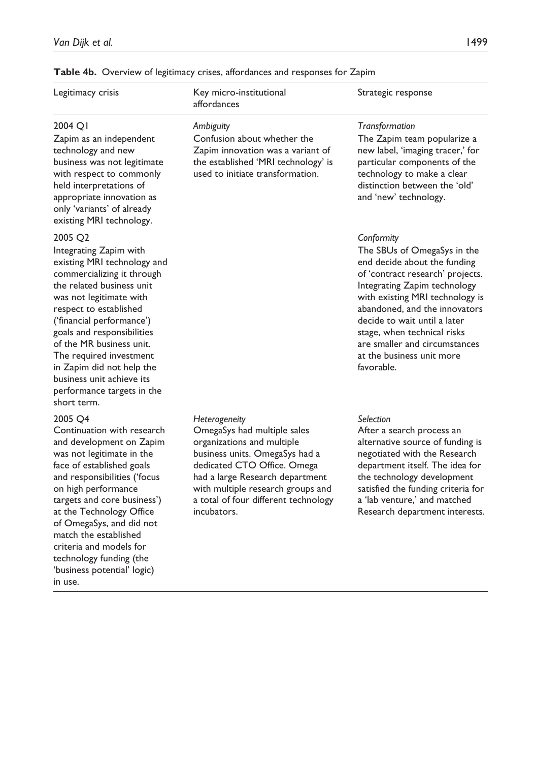in use.

| Legitimacy crisis                                                                                                                                                                                                                                                                                                                                                                                                     | <b>Rabic Fib.</b> Over view of regramacy enses, anorganecs and responses for Zapim<br>Key micro-institutional<br>affordances                                                                                                                                               | Strategic response                                                                                                                                                                                                                                                                                                                                           |
|-----------------------------------------------------------------------------------------------------------------------------------------------------------------------------------------------------------------------------------------------------------------------------------------------------------------------------------------------------------------------------------------------------------------------|----------------------------------------------------------------------------------------------------------------------------------------------------------------------------------------------------------------------------------------------------------------------------|--------------------------------------------------------------------------------------------------------------------------------------------------------------------------------------------------------------------------------------------------------------------------------------------------------------------------------------------------------------|
| 2004 OI<br>Zapim as an independent<br>technology and new<br>business was not legitimate<br>with respect to commonly<br>held interpretations of<br>appropriate innovation as<br>only 'variants' of already<br>existing MRI technology.                                                                                                                                                                                 | Ambiguity<br>Confusion about whether the<br>Zapim innovation was a variant of<br>the established 'MRI technology' is<br>used to initiate transformation.                                                                                                                   | <b>Transformation</b><br>The Zapim team popularize a<br>new label, 'imaging tracer,' for<br>particular components of the<br>technology to make a clear<br>distinction between the 'old'<br>and 'new' technology.                                                                                                                                             |
| 2005 Q <sub>2</sub><br>Integrating Zapim with<br>existing MRI technology and<br>commercializing it through<br>the related business unit<br>was not legitimate with<br>respect to established<br>('financial performance')<br>goals and responsibilities<br>of the MR business unit.<br>The required investment<br>in Zapim did not help the<br>business unit achieve its<br>performance targets in the<br>short term. |                                                                                                                                                                                                                                                                            | Conformity<br>The SBUs of OmegaSys in the<br>end decide about the funding<br>of 'contract research' projects.<br>Integrating Zapim technology<br>with existing MRI technology is<br>abandoned, and the innovators<br>decide to wait until a later<br>stage, when technical risks<br>are smaller and circumstances<br>at the business unit more<br>favorable. |
| 2005 O4<br>Continuation with research<br>and development on Zapim<br>was not legitimate in the<br>face of established goals<br>and responsibilities ('focus<br>on high performance<br>targets and core business')<br>at the Technology Office<br>of OmegaSys, and did not<br>match the established<br>criteria and models for<br>technology funding (the<br>'business potential' logic)                               | Heterogeneity<br>OmegaSys had multiple sales<br>organizations and multiple<br>business units. OmegaSys had a<br>dedicated CTO Office. Omega<br>had a large Research department<br>with multiple research groups and<br>a total of four different technology<br>incubators. | Selection<br>After a search process an<br>alternative source of funding is<br>negotiated with the Research<br>department itself. The idea for<br>the technology development<br>satisfied the funding criteria for<br>a 'lab venture,' and matched<br>Research department interests.                                                                          |

## **Table 4b.** Overview of legitimacy crises, affordances and responses for Zapim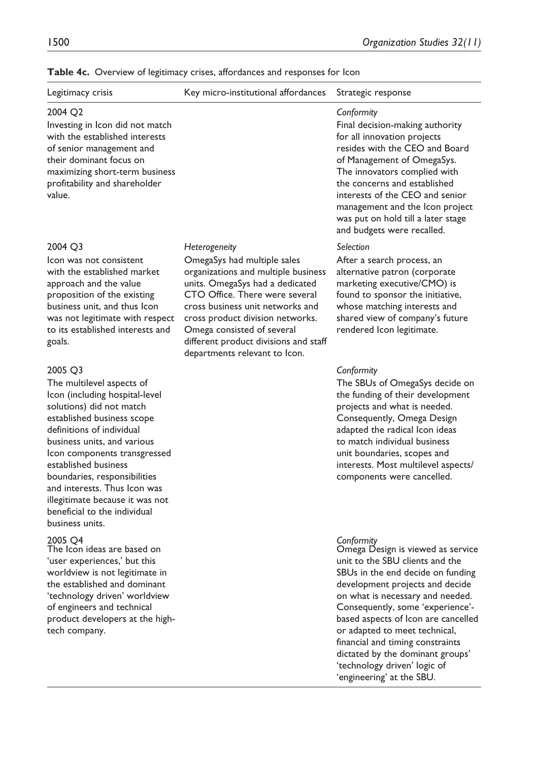| Legitimacy crisis                                                                                                                                                                                                                                                                                                                                                                                          | Key micro-institutional affordances                                                                                                                                                                                                                                                                                                      | Strategic response                                                                                                                                                                                                                                                                                                                                                                                                                              |
|------------------------------------------------------------------------------------------------------------------------------------------------------------------------------------------------------------------------------------------------------------------------------------------------------------------------------------------------------------------------------------------------------------|------------------------------------------------------------------------------------------------------------------------------------------------------------------------------------------------------------------------------------------------------------------------------------------------------------------------------------------|-------------------------------------------------------------------------------------------------------------------------------------------------------------------------------------------------------------------------------------------------------------------------------------------------------------------------------------------------------------------------------------------------------------------------------------------------|
| 2004 Q <sub>2</sub><br>Investing in Icon did not match<br>with the established interests<br>of senior management and<br>their dominant focus on<br>maximizing short-term business<br>profitability and shareholder<br>value.                                                                                                                                                                               |                                                                                                                                                                                                                                                                                                                                          | Conformity<br>Final decision-making authority<br>for all innovation projects<br>resides with the CEO and Board<br>of Management of OmegaSys.<br>The innovators complied with<br>the concerns and established<br>interests of the CEO and senior<br>management and the Icon project<br>was put on hold till a later stage<br>and budgets were recalled.                                                                                          |
| 2004 Q3<br>Icon was not consistent<br>with the established market<br>approach and the value<br>proposition of the existing<br>business unit, and thus Icon<br>was not legitimate with respect<br>to its established interests and<br>goals.                                                                                                                                                                | Heterogeneity<br>OmegaSys had multiple sales<br>organizations and multiple business<br>units. OmegaSys had a dedicated<br>CTO Office. There were several<br>cross business unit networks and<br>cross product division networks.<br>Omega consisted of several<br>different product divisions and staff<br>departments relevant to lcon. | Selection<br>After a search process, an<br>alternative patron (corporate<br>marketing executive/CMO) is<br>found to sponsor the initiative,<br>whose matching interests and<br>shared view of company's future<br>rendered Icon legitimate.                                                                                                                                                                                                     |
| 2005 Q3<br>The multilevel aspects of<br>Icon (including hospital-level<br>solutions) did not match<br>established business scope<br>definitions of individual<br>business units, and various<br>Icon components transgressed<br>established business<br>boundaries, responsibilities<br>and interests. Thus Icon was<br>illegitimate because it was not<br>beneficial to the individual<br>business units. |                                                                                                                                                                                                                                                                                                                                          | Conformity<br>The SBUs of OmegaSys decide on<br>the funding of their development<br>projects and what is needed.<br>Consequently, Omega Design<br>adapted the radical Icon ideas<br>to match individual business<br>unit boundaries, scopes and<br>interests. Most multilevel aspects/<br>components were cancelled.                                                                                                                            |
| 2005 Q4<br>The Icon ideas are based on<br>'user experiences,' but this<br>worldview is not legitimate in<br>the established and dominant<br>'technology driven' worldview<br>of engineers and technical<br>product developers at the high-<br>tech company.                                                                                                                                                |                                                                                                                                                                                                                                                                                                                                          | Conformity<br>Omega Design is viewed as service<br>unit to the SBU clients and the<br>SBUs in the end decide on funding<br>development projects and decide<br>on what is necessary and needed.<br>Consequently, some 'experience'-<br>based aspects of Icon are cancelled<br>or adapted to meet technical,<br>financial and timing constraints<br>dictated by the dominant groups'<br>'technology driven' logic of<br>'engineering' at the SBU. |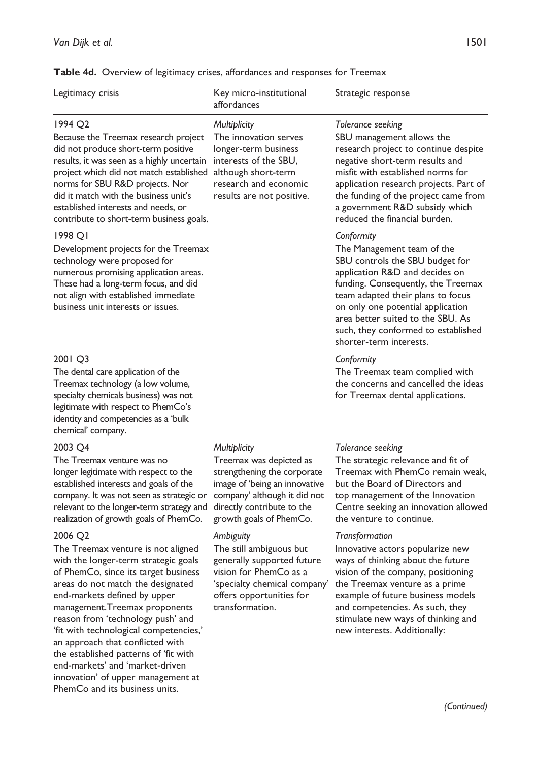| Legitimacy crisis                                                                                                                                                                                                                                                                                                                                                                                                                                                                                           | Key micro-institutional<br>affordances                                                                                                                                                           | Strategic response                                                                                                                                                                                                                                                                                                                   |
|-------------------------------------------------------------------------------------------------------------------------------------------------------------------------------------------------------------------------------------------------------------------------------------------------------------------------------------------------------------------------------------------------------------------------------------------------------------------------------------------------------------|--------------------------------------------------------------------------------------------------------------------------------------------------------------------------------------------------|--------------------------------------------------------------------------------------------------------------------------------------------------------------------------------------------------------------------------------------------------------------------------------------------------------------------------------------|
| 1994 Q <sub>2</sub><br>Because the Treemax research project<br>did not produce short-term positive<br>results, it was seen as a highly uncertain<br>project which did not match established<br>norms for SBU R&D projects. Nor<br>did it match with the business unit's<br>established interests and needs, or<br>contribute to short-term business goals.                                                                                                                                                  | Multiplicity<br>The innovation serves<br>longer-term business<br>interests of the SBU,<br>although short-term<br>research and economic<br>results are not positive.                              | Tolerance seeking<br>SBU management allows the<br>research project to continue despite<br>negative short-term results and<br>misfit with established norms for<br>application research projects. Part of<br>the funding of the project came from<br>a government R&D subsidy which<br>reduced the financial burden.                  |
| 1998 Q1<br>Development projects for the Treemax<br>technology were proposed for<br>numerous promising application areas.<br>These had a long-term focus, and did<br>not align with established immediate<br>business unit interests or issues.                                                                                                                                                                                                                                                              |                                                                                                                                                                                                  | Conformity<br>The Management team of the<br>SBU controls the SBU budget for<br>application R&D and decides on<br>funding. Consequently, the Treemax<br>team adapted their plans to focus<br>on only one potential application<br>area better suited to the SBU. As<br>such, they conformed to established<br>shorter-term interests. |
| 2001 Q3<br>The dental care application of the<br>Treemax technology (a low volume,<br>specialty chemicals business) was not<br>legitimate with respect to PhemCo's<br>identity and competencies as a 'bulk<br>chemical' company.                                                                                                                                                                                                                                                                            |                                                                                                                                                                                                  | Conformity<br>The Treemax team complied with<br>the concerns and cancelled the ideas<br>for Treemax dental applications.                                                                                                                                                                                                             |
| 2003 Q4<br>The Treemax venture was no<br>longer legitimate with respect to the<br>established interests and goals of the<br>company. It was not seen as strategic or<br>relevant to the longer-term strategy and<br>realization of growth goals of PhemCo.                                                                                                                                                                                                                                                  | Multiplicity<br>Treemax was depicted as<br>strengthening the corporate<br>image of 'being an innovative<br>company' although it did not<br>directly contribute to the<br>growth goals of PhemCo. | Tolerance seeking<br>The strategic relevance and fit of<br>Treemax with PhemCo remain weak,<br>but the Board of Directors and<br>top management of the Innovation<br>Centre seeking an innovation allowed<br>the venture to continue.                                                                                                |
| 2006 Q2<br>The Treemax venture is not aligned<br>with the longer-term strategic goals<br>of PhemCo, since its target business<br>areas do not match the designated<br>end-markets defined by upper<br>management. Treemax proponents<br>reason from 'technology push' and<br>'fit with technological competencies,'<br>an approach that conflicted with<br>the established patterns of 'fit with<br>end-markets' and 'market-driven<br>innovation' of upper management at<br>PhemCo and its business units. | Ambiguity<br>The still ambiguous but<br>generally supported future<br>vision for PhemCo as a<br>'specialty chemical company'<br>offers opportunities for<br>transformation.                      | <b>Transformation</b><br>Innovative actors popularize new<br>ways of thinking about the future<br>vision of the company, positioning<br>the Treemax venture as a prime<br>example of future business models<br>and competencies. As such, they<br>stimulate new ways of thinking and<br>new interests. Additionally:                 |

## **Table 4d.** Overview of legitimacy crises, affordances and responses for Treemax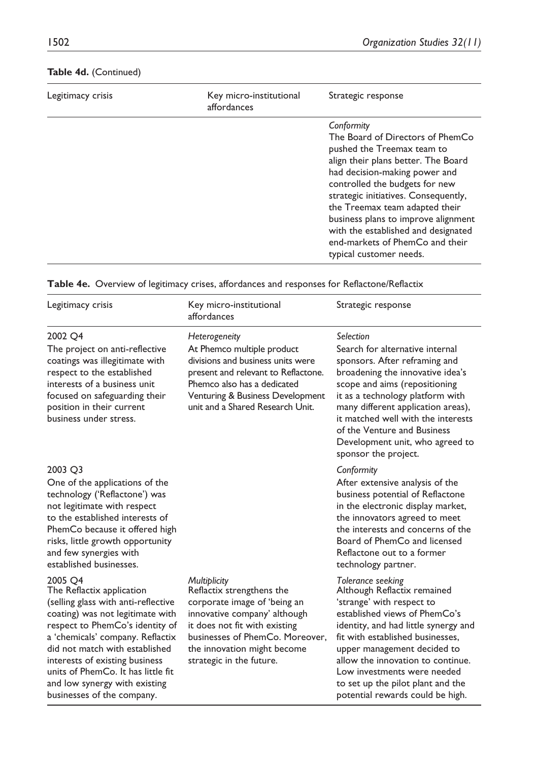| Legitimacy crisis | Key micro-institutional<br>affordances | Strategic response                                                                                                                                                                                                                                                                                                                                                                                           |
|-------------------|----------------------------------------|--------------------------------------------------------------------------------------------------------------------------------------------------------------------------------------------------------------------------------------------------------------------------------------------------------------------------------------------------------------------------------------------------------------|
|                   |                                        | Conformity<br>The Board of Directors of PhemCo<br>pushed the Treemax team to<br>align their plans better. The Board<br>had decision-making power and<br>controlled the budgets for new<br>strategic initiatives. Consequently,<br>the Treemax team adapted their<br>business plans to improve alignment<br>with the established and designated<br>end-markets of PhemCo and their<br>typical customer needs. |

#### **Table 4d.** (Continued)

**Table 4e.** Overview of legitimacy crises, affordances and responses for Reflactone/Reflactix

| Legitimacy crisis                                                                                                                                                                                                                                                                                                                                               | Key micro-institutional<br>affordances                                                                                                                                                                                                   | Strategic response                                                                                                                                                                                                                                                                                                                                                     |
|-----------------------------------------------------------------------------------------------------------------------------------------------------------------------------------------------------------------------------------------------------------------------------------------------------------------------------------------------------------------|------------------------------------------------------------------------------------------------------------------------------------------------------------------------------------------------------------------------------------------|------------------------------------------------------------------------------------------------------------------------------------------------------------------------------------------------------------------------------------------------------------------------------------------------------------------------------------------------------------------------|
| 2002 Q4<br>The project on anti-reflective<br>coatings was illegitimate with<br>respect to the established<br>interests of a business unit<br>focused on safeguarding their<br>position in their current<br>business under stress.                                                                                                                               | Heterogeneity<br>At Phemco multiple product<br>divisions and business units were<br>present and relevant to Reflactone.<br>Phemco also has a dedicated<br>Venturing & Business Development<br>unit and a Shared Research Unit.           | Selection<br>Search for alternative internal<br>sponsors. After reframing and<br>broadening the innovative idea's<br>scope and aims (repositioning<br>it as a technology platform with<br>many different application areas),<br>it matched well with the interests<br>of the Venture and Business<br>Development unit, who agreed to<br>sponsor the project.           |
| 2003 Q3<br>One of the applications of the<br>technology ('Reflactone') was<br>not legitimate with respect<br>to the established interests of<br>PhemCo because it offered high<br>risks, little growth opportunity<br>and few synergies with<br>established businesses.                                                                                         |                                                                                                                                                                                                                                          | Conformity<br>After extensive analysis of the<br>business potential of Reflactone<br>in the electronic display market,<br>the innovators agreed to meet<br>the interests and concerns of the<br>Board of PhemCo and licensed<br>Reflactone out to a former<br>technology partner.                                                                                      |
| 2005 Q4<br>The Reflactix application<br>(selling glass with anti-reflective<br>coating) was not legitimate with<br>respect to PhemCo's identity of<br>a 'chemicals' company. Reflactix<br>did not match with established<br>interests of existing business<br>units of PhemCo. It has little fit<br>and low synergy with existing<br>businesses of the company. | Multiplicity<br>Reflactix strengthens the<br>corporate image of 'being an<br>innovative company' although<br>it does not fit with existing<br>businesses of PhemCo. Moreover,<br>the innovation might become<br>strategic in the future. | Tolerance seeking<br>Although Reflactix remained<br>'strange' with respect to<br>established views of PhemCo's<br>identity, and had little synergy and<br>fit with established businesses,<br>upper management decided to<br>allow the innovation to continue.<br>Low investments were needed<br>to set up the pilot plant and the<br>potential rewards could be high. |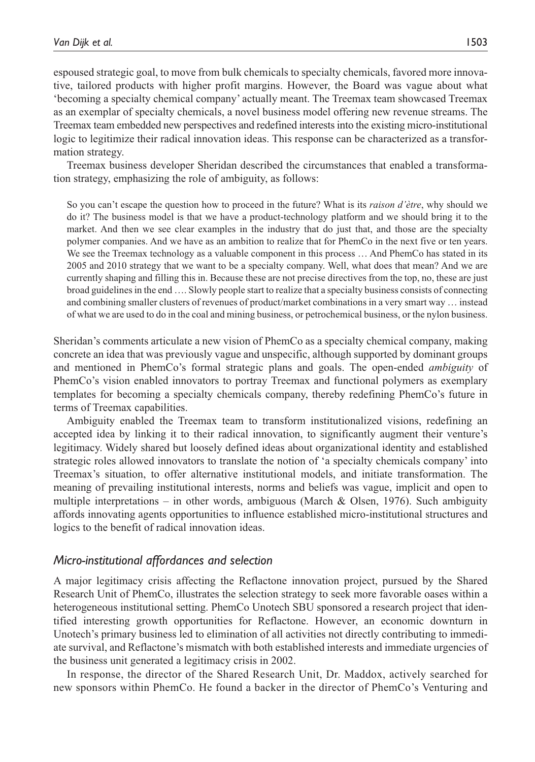espoused strategic goal, to move from bulk chemicals to specialty chemicals, favored more innovative, tailored products with higher profit margins. However, the Board was vague about what 'becoming a specialty chemical company' actually meant. The Treemax team showcased Treemax as an exemplar of specialty chemicals, a novel business model offering new revenue streams. The Treemax team embedded new perspectives and redefined interests into the existing micro-institutional logic to legitimize their radical innovation ideas. This response can be characterized as a transformation strategy.

Treemax business developer Sheridan described the circumstances that enabled a transformation strategy, emphasizing the role of ambiguity, as follows:

So you can't escape the question how to proceed in the future? What is its *raison d'ètre*, why should we do it? The business model is that we have a product-technology platform and we should bring it to the market. And then we see clear examples in the industry that do just that, and those are the specialty polymer companies. And we have as an ambition to realize that for PhemCo in the next five or ten years. We see the Treemax technology as a valuable component in this process ... And PhemCo has stated in its 2005 and 2010 strategy that we want to be a specialty company. Well, what does that mean? And we are currently shaping and filling this in. Because these are not precise directives from the top, no, these are just broad guidelines in the end …. Slowly people start to realize that a specialty business consists of connecting and combining smaller clusters of revenues of product/market combinations in a very smart way … instead of what we are used to do in the coal and mining business, or petrochemical business, or the nylon business.

Sheridan's comments articulate a new vision of PhemCo as a specialty chemical company, making concrete an idea that was previously vague and unspecific, although supported by dominant groups and mentioned in PhemCo's formal strategic plans and goals. The open-ended *ambiguity* of PhemCo's vision enabled innovators to portray Treemax and functional polymers as exemplary templates for becoming a specialty chemicals company, thereby redefining PhemCo's future in terms of Treemax capabilities.

Ambiguity enabled the Treemax team to transform institutionalized visions, redefining an accepted idea by linking it to their radical innovation, to significantly augment their venture's legitimacy. Widely shared but loosely defined ideas about organizational identity and established strategic roles allowed innovators to translate the notion of 'a specialty chemicals company' into Treemax's situation, to offer alternative institutional models, and initiate transformation. The meaning of prevailing institutional interests, norms and beliefs was vague, implicit and open to multiple interpretations – in other words, ambiguous (March & Olsen, 1976). Such ambiguity affords innovating agents opportunities to influence established micro-institutional structures and logics to the benefit of radical innovation ideas.

### *Micro-institutional affordances and selection*

A major legitimacy crisis affecting the Reflactone innovation project, pursued by the Shared Research Unit of PhemCo, illustrates the selection strategy to seek more favorable oases within a heterogeneous institutional setting. PhemCo Unotech SBU sponsored a research project that identified interesting growth opportunities for Reflactone. However, an economic downturn in Unotech's primary business led to elimination of all activities not directly contributing to immediate survival, and Reflactone's mismatch with both established interests and immediate urgencies of the business unit generated a legitimacy crisis in 2002.

In response, the director of the Shared Research Unit, Dr. Maddox, actively searched for new sponsors within PhemCo. He found a backer in the director of PhemCo's Venturing and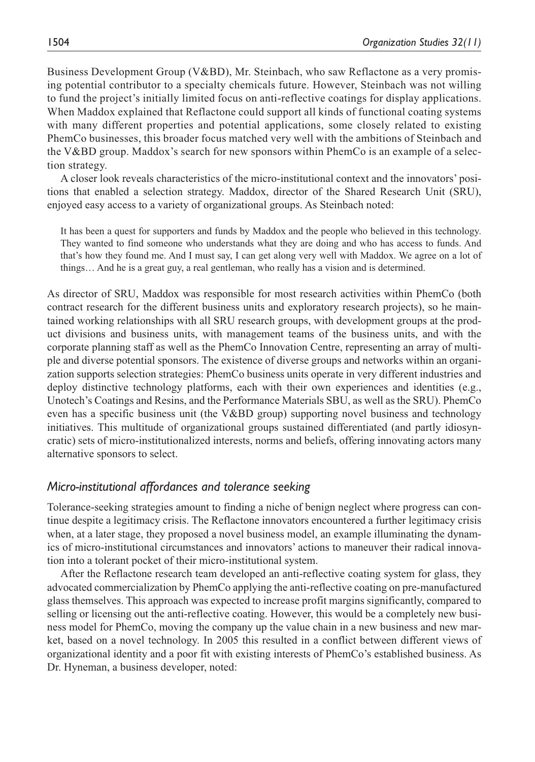Business Development Group (V&BD), Mr. Steinbach, who saw Reflactone as a very promising potential contributor to a specialty chemicals future. However, Steinbach was not willing to fund the project's initially limited focus on anti-reflective coatings for display applications. When Maddox explained that Reflactone could support all kinds of functional coating systems with many different properties and potential applications, some closely related to existing PhemCo businesses, this broader focus matched very well with the ambitions of Steinbach and the V&BD group. Maddox's search for new sponsors within PhemCo is an example of a selection strategy.

A closer look reveals characteristics of the micro-institutional context and the innovators' positions that enabled a selection strategy. Maddox, director of the Shared Research Unit (SRU), enjoyed easy access to a variety of organizational groups. As Steinbach noted:

It has been a quest for supporters and funds by Maddox and the people who believed in this technology. They wanted to find someone who understands what they are doing and who has access to funds. And that's how they found me. And I must say, I can get along very well with Maddox. We agree on a lot of things… And he is a great guy, a real gentleman, who really has a vision and is determined.

As director of SRU, Maddox was responsible for most research activities within PhemCo (both contract research for the different business units and exploratory research projects), so he maintained working relationships with all SRU research groups, with development groups at the product divisions and business units, with management teams of the business units, and with the corporate planning staff as well as the PhemCo Innovation Centre, representing an array of multiple and diverse potential sponsors. The existence of diverse groups and networks within an organization supports selection strategies: PhemCo business units operate in very different industries and deploy distinctive technology platforms, each with their own experiences and identities (e.g., Unotech's Coatings and Resins, and the Performance Materials SBU, as well as the SRU). PhemCo even has a specific business unit (the V&BD group) supporting novel business and technology initiatives. This multitude of organizational groups sustained differentiated (and partly idiosyncratic) sets of micro-institutionalized interests, norms and beliefs, offering innovating actors many alternative sponsors to select.

## *Micro-institutional affordances and tolerance seeking*

Tolerance-seeking strategies amount to finding a niche of benign neglect where progress can continue despite a legitimacy crisis. The Reflactone innovators encountered a further legitimacy crisis when, at a later stage, they proposed a novel business model, an example illuminating the dynamics of micro-institutional circumstances and innovators' actions to maneuver their radical innovation into a tolerant pocket of their micro-institutional system.

After the Reflactone research team developed an anti-reflective coating system for glass, they advocated commercialization by PhemCo applying the anti-reflective coating on pre-manufactured glass themselves. This approach was expected to increase profit margins significantly, compared to selling or licensing out the anti-reflective coating. However, this would be a completely new business model for PhemCo, moving the company up the value chain in a new business and new market, based on a novel technology. In 2005 this resulted in a conflict between different views of organizational identity and a poor fit with existing interests of PhemCo's established business. As Dr. Hyneman, a business developer, noted: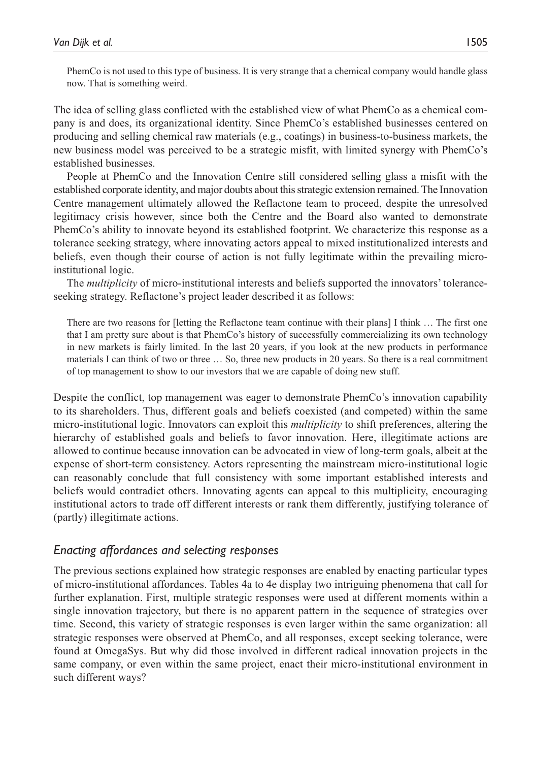PhemCo is not used to this type of business. It is very strange that a chemical company would handle glass now. That is something weird.

The idea of selling glass conflicted with the established view of what PhemCo as a chemical company is and does, its organizational identity. Since PhemCo's established businesses centered on producing and selling chemical raw materials (e.g., coatings) in business-to-business markets, the new business model was perceived to be a strategic misfit, with limited synergy with PhemCo's established businesses.

People at PhemCo and the Innovation Centre still considered selling glass a misfit with the established corporate identity, and major doubts about this strategic extension remained. The Innovation Centre management ultimately allowed the Reflactone team to proceed, despite the unresolved legitimacy crisis however, since both the Centre and the Board also wanted to demonstrate PhemCo's ability to innovate beyond its established footprint. We characterize this response as a tolerance seeking strategy, where innovating actors appeal to mixed institutionalized interests and beliefs, even though their course of action is not fully legitimate within the prevailing microinstitutional logic.

The *multiplicity* of micro-institutional interests and beliefs supported the innovators' toleranceseeking strategy. Reflactone's project leader described it as follows:

There are two reasons for [letting the Reflactone team continue with their plans] I think … The first one that I am pretty sure about is that PhemCo's history of successfully commercializing its own technology in new markets is fairly limited. In the last 20 years, if you look at the new products in performance materials I can think of two or three … So, three new products in 20 years. So there is a real commitment of top management to show to our investors that we are capable of doing new stuff.

Despite the conflict, top management was eager to demonstrate PhemCo's innovation capability to its shareholders. Thus, different goals and beliefs coexisted (and competed) within the same micro-institutional logic. Innovators can exploit this *multiplicity* to shift preferences, altering the hierarchy of established goals and beliefs to favor innovation. Here, illegitimate actions are allowed to continue because innovation can be advocated in view of long-term goals, albeit at the expense of short-term consistency. Actors representing the mainstream micro-institutional logic can reasonably conclude that full consistency with some important established interests and beliefs would contradict others. Innovating agents can appeal to this multiplicity, encouraging institutional actors to trade off different interests or rank them differently, justifying tolerance of (partly) illegitimate actions.

## *Enacting affordances and selecting responses*

The previous sections explained how strategic responses are enabled by enacting particular types of micro-institutional affordances. Tables 4a to 4e display two intriguing phenomena that call for further explanation. First, multiple strategic responses were used at different moments within a single innovation trajectory, but there is no apparent pattern in the sequence of strategies over time. Second, this variety of strategic responses is even larger within the same organization: all strategic responses were observed at PhemCo, and all responses, except seeking tolerance, were found at OmegaSys. But why did those involved in different radical innovation projects in the same company, or even within the same project, enact their micro-institutional environment in such different ways?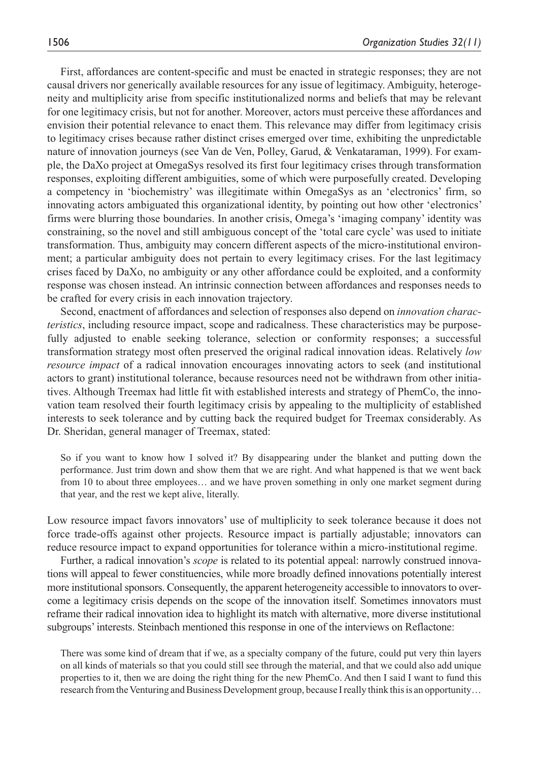First, affordances are content-specific and must be enacted in strategic responses; they are not causal drivers nor generically available resources for any issue of legitimacy. Ambiguity, heterogeneity and multiplicity arise from specific institutionalized norms and beliefs that may be relevant for one legitimacy crisis, but not for another. Moreover, actors must perceive these affordances and envision their potential relevance to enact them. This relevance may differ from legitimacy crisis to legitimacy crises because rather distinct crises emerged over time, exhibiting the unpredictable nature of innovation journeys (see Van de Ven, Polley, Garud, & Venkataraman, 1999). For example, the DaXo project at OmegaSys resolved its first four legitimacy crises through transformation responses, exploiting different ambiguities, some of which were purposefully created. Developing a competency in 'biochemistry' was illegitimate within OmegaSys as an 'electronics' firm, so innovating actors ambiguated this organizational identity, by pointing out how other 'electronics' firms were blurring those boundaries. In another crisis, Omega's 'imaging company' identity was constraining, so the novel and still ambiguous concept of the 'total care cycle' was used to initiate transformation. Thus, ambiguity may concern different aspects of the micro-institutional environment; a particular ambiguity does not pertain to every legitimacy crises. For the last legitimacy crises faced by DaXo, no ambiguity or any other affordance could be exploited, and a conformity response was chosen instead. An intrinsic connection between affordances and responses needs to be crafted for every crisis in each innovation trajectory.

Second, enactment of affordances and selection of responses also depend on *innovation characteristics*, including resource impact, scope and radicalness. These characteristics may be purposefully adjusted to enable seeking tolerance, selection or conformity responses; a successful transformation strategy most often preserved the original radical innovation ideas. Relatively *low resource impact* of a radical innovation encourages innovating actors to seek (and institutional actors to grant) institutional tolerance, because resources need not be withdrawn from other initiatives. Although Treemax had little fit with established interests and strategy of PhemCo, the innovation team resolved their fourth legitimacy crisis by appealing to the multiplicity of established interests to seek tolerance and by cutting back the required budget for Treemax considerably. As Dr. Sheridan, general manager of Treemax, stated:

So if you want to know how I solved it? By disappearing under the blanket and putting down the performance. Just trim down and show them that we are right. And what happened is that we went back from 10 to about three employees… and we have proven something in only one market segment during that year, and the rest we kept alive, literally.

Low resource impact favors innovators' use of multiplicity to seek tolerance because it does not force trade-offs against other projects. Resource impact is partially adjustable; innovators can reduce resource impact to expand opportunities for tolerance within a micro-institutional regime.

Further, a radical innovation's *scope* is related to its potential appeal: narrowly construed innovations will appeal to fewer constituencies, while more broadly defined innovations potentially interest more institutional sponsors. Consequently, the apparent heterogeneity accessible to innovators to overcome a legitimacy crisis depends on the scope of the innovation itself. Sometimes innovators must reframe their radical innovation idea to highlight its match with alternative, more diverse institutional subgroups' interests. Steinbach mentioned this response in one of the interviews on Reflactone:

There was some kind of dream that if we, as a specialty company of the future, could put very thin layers on all kinds of materials so that you could still see through the material, and that we could also add unique properties to it, then we are doing the right thing for the new PhemCo. And then I said I want to fund this research from the Venturing and Business Development group, because I really think this is an opportunity…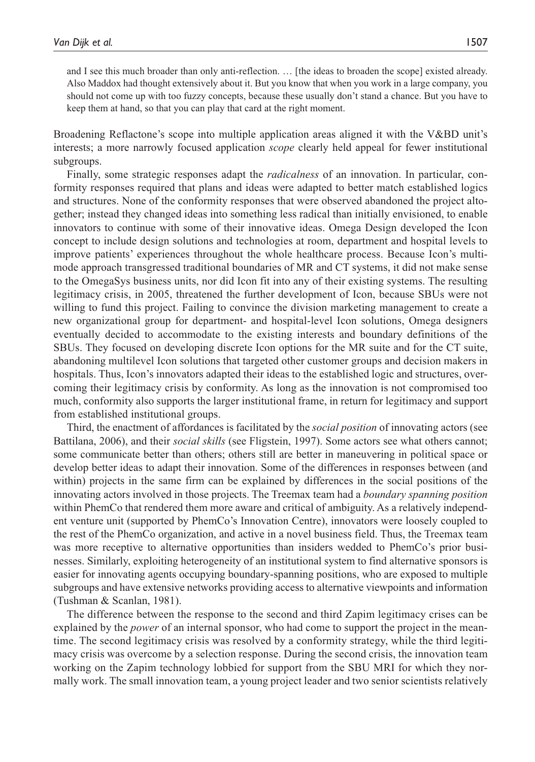and I see this much broader than only anti-reflection. … [the ideas to broaden the scope] existed already. Also Maddox had thought extensively about it. But you know that when you work in a large company, you should not come up with too fuzzy concepts, because these usually don't stand a chance. But you have to keep them at hand, so that you can play that card at the right moment.

Broadening Reflactone's scope into multiple application areas aligned it with the V&BD unit's interests; a more narrowly focused application *scope* clearly held appeal for fewer institutional subgroups.

Finally, some strategic responses adapt the *radicalness* of an innovation. In particular, conformity responses required that plans and ideas were adapted to better match established logics and structures. None of the conformity responses that were observed abandoned the project altogether; instead they changed ideas into something less radical than initially envisioned, to enable innovators to continue with some of their innovative ideas. Omega Design developed the Icon concept to include design solutions and technologies at room, department and hospital levels to improve patients' experiences throughout the whole healthcare process. Because Icon's multimode approach transgressed traditional boundaries of MR and CT systems, it did not make sense to the OmegaSys business units, nor did Icon fit into any of their existing systems. The resulting legitimacy crisis, in 2005, threatened the further development of Icon, because SBUs were not willing to fund this project. Failing to convince the division marketing management to create a new organizational group for department- and hospital-level Icon solutions, Omega designers eventually decided to accommodate to the existing interests and boundary definitions of the SBUs. They focused on developing discrete Icon options for the MR suite and for the CT suite, abandoning multilevel Icon solutions that targeted other customer groups and decision makers in hospitals. Thus, Icon's innovators adapted their ideas to the established logic and structures, overcoming their legitimacy crisis by conformity. As long as the innovation is not compromised too much, conformity also supports the larger institutional frame, in return for legitimacy and support from established institutional groups.

Third, the enactment of affordances is facilitated by the *social position* of innovating actors (see Battilana, 2006), and their *social skills* (see Fligstein, 1997). Some actors see what others cannot; some communicate better than others; others still are better in maneuvering in political space or develop better ideas to adapt their innovation. Some of the differences in responses between (and within) projects in the same firm can be explained by differences in the social positions of the innovating actors involved in those projects. The Treemax team had a *boundary spanning position* within PhemCo that rendered them more aware and critical of ambiguity. As a relatively independent venture unit (supported by PhemCo's Innovation Centre), innovators were loosely coupled to the rest of the PhemCo organization, and active in a novel business field. Thus, the Treemax team was more receptive to alternative opportunities than insiders wedded to PhemCo's prior businesses. Similarly, exploiting heterogeneity of an institutional system to find alternative sponsors is easier for innovating agents occupying boundary-spanning positions, who are exposed to multiple subgroups and have extensive networks providing access to alternative viewpoints and information (Tushman & Scanlan, 1981).

The difference between the response to the second and third Zapim legitimacy crises can be explained by the *power* of an internal sponsor, who had come to support the project in the meantime. The second legitimacy crisis was resolved by a conformity strategy, while the third legitimacy crisis was overcome by a selection response. During the second crisis, the innovation team working on the Zapim technology lobbied for support from the SBU MRI for which they normally work. The small innovation team, a young project leader and two senior scientists relatively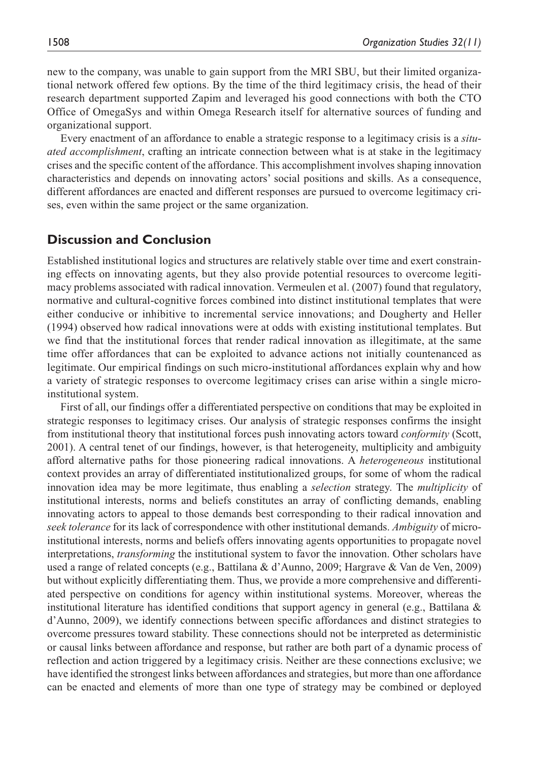new to the company, was unable to gain support from the MRI SBU, but their limited organizational network offered few options. By the time of the third legitimacy crisis, the head of their research department supported Zapim and leveraged his good connections with both the CTO Office of OmegaSys and within Omega Research itself for alternative sources of funding and organizational support.

Every enactment of an affordance to enable a strategic response to a legitimacy crisis is a *situated accomplishment*, crafting an intricate connection between what is at stake in the legitimacy crises and the specific content of the affordance. This accomplishment involves shaping innovation characteristics and depends on innovating actors' social positions and skills. As a consequence, different affordances are enacted and different responses are pursued to overcome legitimacy crises, even within the same project or the same organization.

## **Discussion and Conclusion**

Established institutional logics and structures are relatively stable over time and exert constraining effects on innovating agents, but they also provide potential resources to overcome legitimacy problems associated with radical innovation. Vermeulen et al. (2007) found that regulatory, normative and cultural-cognitive forces combined into distinct institutional templates that were either conducive or inhibitive to incremental service innovations; and Dougherty and Heller (1994) observed how radical innovations were at odds with existing institutional templates. But we find that the institutional forces that render radical innovation as illegitimate, at the same time offer affordances that can be exploited to advance actions not initially countenanced as legitimate. Our empirical findings on such micro-institutional affordances explain why and how a variety of strategic responses to overcome legitimacy crises can arise within a single microinstitutional system.

First of all, our findings offer a differentiated perspective on conditions that may be exploited in strategic responses to legitimacy crises. Our analysis of strategic responses confirms the insight from institutional theory that institutional forces push innovating actors toward *conformity* (Scott, 2001). A central tenet of our findings, however, is that heterogeneity, multiplicity and ambiguity afford alternative paths for those pioneering radical innovations. A *heterogeneous* institutional context provides an array of differentiated institutionalized groups, for some of whom the radical innovation idea may be more legitimate, thus enabling a *selection* strategy. The *multiplicity* of institutional interests, norms and beliefs constitutes an array of conflicting demands, enabling innovating actors to appeal to those demands best corresponding to their radical innovation and *seek tolerance* for its lack of correspondence with other institutional demands. *Ambiguity* of microinstitutional interests, norms and beliefs offers innovating agents opportunities to propagate novel interpretations, *transforming* the institutional system to favor the innovation. Other scholars have used a range of related concepts (e.g., Battilana & d'Aunno, 2009; Hargrave & Van de Ven, 2009) but without explicitly differentiating them. Thus, we provide a more comprehensive and differentiated perspective on conditions for agency within institutional systems. Moreover, whereas the institutional literature has identified conditions that support agency in general (e.g., Battilana & d'Aunno, 2009), we identify connections between specific affordances and distinct strategies to overcome pressures toward stability. These connections should not be interpreted as deterministic or causal links between affordance and response, but rather are both part of a dynamic process of reflection and action triggered by a legitimacy crisis. Neither are these connections exclusive; we have identified the strongest links between affordances and strategies, but more than one affordance can be enacted and elements of more than one type of strategy may be combined or deployed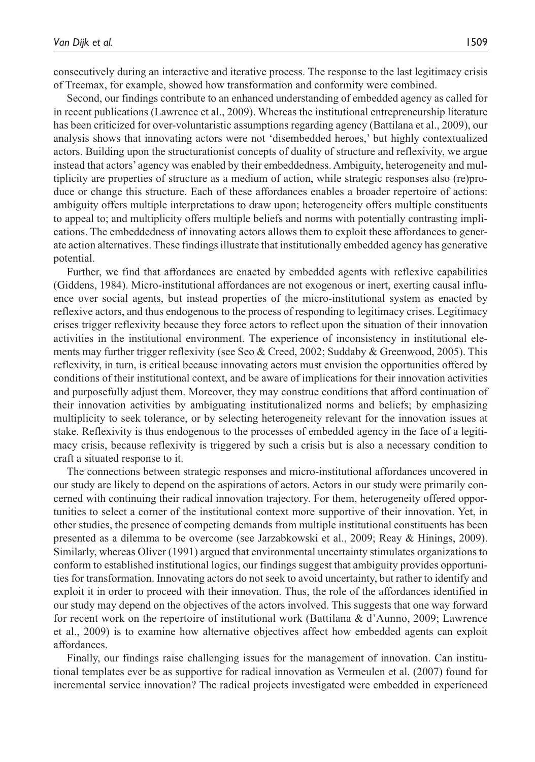consecutively during an interactive and iterative process. The response to the last legitimacy crisis of Treemax, for example, showed how transformation and conformity were combined.

Second, our findings contribute to an enhanced understanding of embedded agency as called for in recent publications (Lawrence et al., 2009). Whereas the institutional entrepreneurship literature has been criticized for over-voluntaristic assumptions regarding agency (Battilana et al., 2009), our analysis shows that innovating actors were not 'disembedded heroes,' but highly contextualized actors. Building upon the structurationist concepts of duality of structure and reflexivity, we argue instead that actors' agency was enabled by their embeddedness. Ambiguity, heterogeneity and multiplicity are properties of structure as a medium of action, while strategic responses also (re)produce or change this structure. Each of these affordances enables a broader repertoire of actions: ambiguity offers multiple interpretations to draw upon; heterogeneity offers multiple constituents to appeal to; and multiplicity offers multiple beliefs and norms with potentially contrasting implications. The embeddedness of innovating actors allows them to exploit these affordances to generate action alternatives. These findings illustrate that institutionally embedded agency has generative potential.

Further, we find that affordances are enacted by embedded agents with reflexive capabilities (Giddens, 1984). Micro-institutional affordances are not exogenous or inert, exerting causal influence over social agents, but instead properties of the micro-institutional system as enacted by reflexive actors, and thus endogenous to the process of responding to legitimacy crises. Legitimacy crises trigger reflexivity because they force actors to reflect upon the situation of their innovation activities in the institutional environment. The experience of inconsistency in institutional elements may further trigger reflexivity (see Seo & Creed, 2002; Suddaby & Greenwood, 2005). This reflexivity, in turn, is critical because innovating actors must envision the opportunities offered by conditions of their institutional context, and be aware of implications for their innovation activities and purposefully adjust them. Moreover, they may construe conditions that afford continuation of their innovation activities by ambiguating institutionalized norms and beliefs; by emphasizing multiplicity to seek tolerance, or by selecting heterogeneity relevant for the innovation issues at stake. Reflexivity is thus endogenous to the processes of embedded agency in the face of a legitimacy crisis, because reflexivity is triggered by such a crisis but is also a necessary condition to craft a situated response to it.

The connections between strategic responses and micro-institutional affordances uncovered in our study are likely to depend on the aspirations of actors. Actors in our study were primarily concerned with continuing their radical innovation trajectory. For them, heterogeneity offered opportunities to select a corner of the institutional context more supportive of their innovation. Yet, in other studies, the presence of competing demands from multiple institutional constituents has been presented as a dilemma to be overcome (see Jarzabkowski et al., 2009; Reay & Hinings, 2009). Similarly, whereas Oliver (1991) argued that environmental uncertainty stimulates organizations to conform to established institutional logics, our findings suggest that ambiguity provides opportunities for transformation. Innovating actors do not seek to avoid uncertainty, but rather to identify and exploit it in order to proceed with their innovation. Thus, the role of the affordances identified in our study may depend on the objectives of the actors involved. This suggests that one way forward for recent work on the repertoire of institutional work (Battilana & d'Aunno, 2009; Lawrence et al., 2009) is to examine how alternative objectives affect how embedded agents can exploit affordances.

Finally, our findings raise challenging issues for the management of innovation. Can institutional templates ever be as supportive for radical innovation as Vermeulen et al. (2007) found for incremental service innovation? The radical projects investigated were embedded in experienced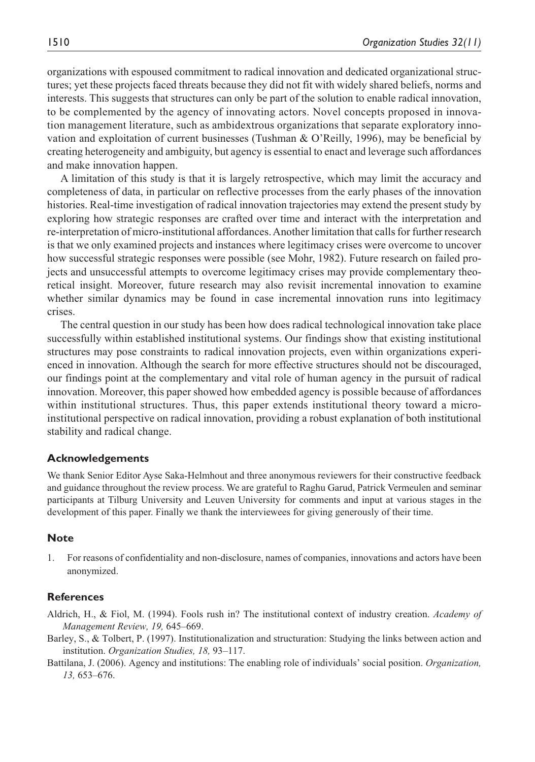organizations with espoused commitment to radical innovation and dedicated organizational structures; yet these projects faced threats because they did not fit with widely shared beliefs, norms and interests. This suggests that structures can only be part of the solution to enable radical innovation, to be complemented by the agency of innovating actors. Novel concepts proposed in innovation management literature, such as ambidextrous organizations that separate exploratory innovation and exploitation of current businesses (Tushman & O'Reilly, 1996), may be beneficial by creating heterogeneity and ambiguity, but agency is essential to enact and leverage such affordances and make innovation happen.

A limitation of this study is that it is largely retrospective, which may limit the accuracy and completeness of data, in particular on reflective processes from the early phases of the innovation histories. Real-time investigation of radical innovation trajectories may extend the present study by exploring how strategic responses are crafted over time and interact with the interpretation and re-interpretation of micro-institutional affordances. Another limitation that calls for further research is that we only examined projects and instances where legitimacy crises were overcome to uncover how successful strategic responses were possible (see Mohr, 1982). Future research on failed projects and unsuccessful attempts to overcome legitimacy crises may provide complementary theoretical insight. Moreover, future research may also revisit incremental innovation to examine whether similar dynamics may be found in case incremental innovation runs into legitimacy crises.

The central question in our study has been how does radical technological innovation take place successfully within established institutional systems. Our findings show that existing institutional structures may pose constraints to radical innovation projects, even within organizations experienced in innovation. Although the search for more effective structures should not be discouraged, our findings point at the complementary and vital role of human agency in the pursuit of radical innovation. Moreover, this paper showed how embedded agency is possible because of affordances within institutional structures. Thus, this paper extends institutional theory toward a microinstitutional perspective on radical innovation, providing a robust explanation of both institutional stability and radical change.

#### **Acknowledgements**

We thank Senior Editor Ayse Saka-Helmhout and three anonymous reviewers for their constructive feedback and guidance throughout the review process. We are grateful to Raghu Garud, Patrick Vermeulen and seminar participants at Tilburg University and Leuven University for comments and input at various stages in the development of this paper. Finally we thank the interviewees for giving generously of their time.

#### **Note**

1. For reasons of confidentiality and non-disclosure, names of companies, innovations and actors have been anonymized.

#### **References**

- Aldrich, H., & Fiol, M. (1994). Fools rush in? The institutional context of industry creation. *Academy of Management Review, 19,* 645–669.
- Barley, S., & Tolbert, P. (1997). Institutionalization and structuration: Studying the links between action and institution. *Organization Studies, 18,* 93–117.
- Battilana, J. (2006). Agency and institutions: The enabling role of individuals' social position. *Organization, 13,* 653–676.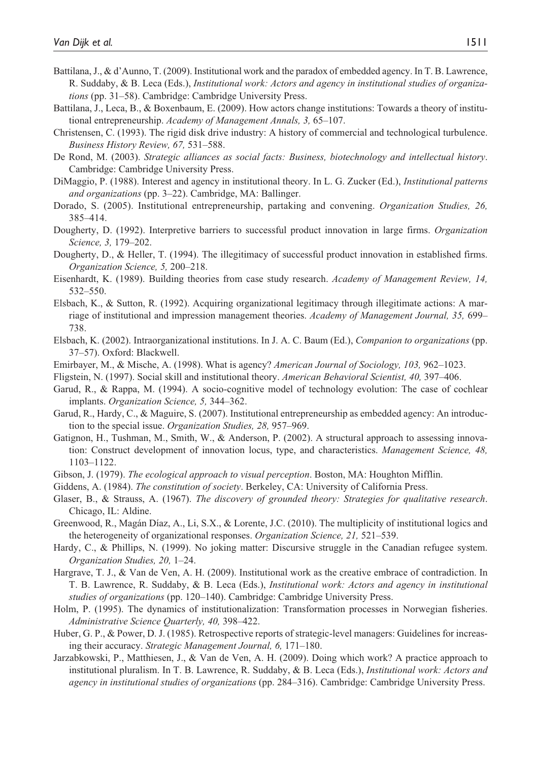- Battilana, J., & d'Aunno, T. (2009). Institutional work and the paradox of embedded agency. In T. B. Lawrence, R. Suddaby, & B. Leca (Eds.), *Institutional work: Actors and agency in institutional studies of organizations* (pp. 31–58). Cambridge: Cambridge University Press.
- Battilana, J., Leca, B., & Boxenbaum, E. (2009). How actors change institutions: Towards a theory of institutional entrepreneurship. *Academy of Management Annals, 3,* 65–107.
- Christensen, C. (1993). The rigid disk drive industry: A history of commercial and technological turbulence. *Business History Review, 67,* 531–588.
- De Rond, M. (2003). *Strategic alliances as social facts: Business, biotechnology and intellectual history*. Cambridge: Cambridge University Press.
- DiMaggio, P. (1988). Interest and agency in institutional theory. In L. G. Zucker (Ed.), *Institutional patterns and organizations* (pp. 3–22). Cambridge, MA: Ballinger.
- Dorado, S. (2005). Institutional entrepreneurship, partaking and convening. *Organization Studies, 26,* 385–414.
- Dougherty, D. (1992). Interpretive barriers to successful product innovation in large firms. *Organization Science, 3,* 179–202.
- Dougherty, D., & Heller, T. (1994). The illegitimacy of successful product innovation in established firms. *Organization Science, 5,* 200–218.
- Eisenhardt, K. (1989). Building theories from case study research. *Academy of Management Review, 14,* 532–550.
- Elsbach, K., & Sutton, R. (1992). Acquiring organizational legitimacy through illegitimate actions: A marriage of institutional and impression management theories. *Academy of Management Journal, 35,* 699– 738.
- Elsbach, K. (2002). Intraorganizational institutions. In J. A. C. Baum (Ed.), *Companion to organizations* (pp. 37–57). Oxford: Blackwell.
- Emirbayer, M., & Mische, A. (1998). What is agency? *American Journal of Sociology, 103,* 962–1023.
- Fligstein, N. (1997). Social skill and institutional theory. *American Behavioral Scientist, 40,* 397–406.
- Garud, R., & Rappa, M. (1994). A socio-cognitive model of technology evolution: The case of cochlear implants. *Organization Science, 5,* 344–362.
- Garud, R., Hardy, C., & Maguire, S. (2007). Institutional entrepreneurship as embedded agency: An introduction to the special issue. *Organization Studies, 28,* 957–969.
- Gatignon, H., Tushman, M., Smith, W., & Anderson, P. (2002). A structural approach to assessing innovation: Construct development of innovation locus, type, and characteristics. *Management Science, 48,* 1103–1122.
- Gibson, J. (1979). *The ecological approach to visual perception*. Boston, MA: Houghton Mifflin.
- Giddens, A. (1984). *The constitution of society*. Berkeley, CA: University of California Press.
- Glaser, B., & Strauss, A. (1967). *The discovery of grounded theory: Strategies for qualitative research*. Chicago, IL: Aldine.
- Greenwood, R., Magán Díaz, A., Li, S.X., & Lorente, J.C. (2010). The multiplicity of institutional logics and the heterogeneity of organizational responses. *Organization Science, 21,* 521–539.
- Hardy, C., & Phillips, N. (1999). No joking matter: Discursive struggle in the Canadian refugee system. *Organization Studies, 20,* 1–24.
- Hargrave, T. J., & Van de Ven, A. H. (2009). Institutional work as the creative embrace of contradiction. In T. B. Lawrence, R. Suddaby, & B. Leca (Eds.), *Institutional work: Actors and agency in institutional studies of organizations* (pp. 120–140). Cambridge: Cambridge University Press.
- Holm, P. (1995). The dynamics of institutionalization: Transformation processes in Norwegian fisheries. *Administrative Science Quarterly, 40,* 398–422.
- Huber, G. P., & Power, D. J. (1985). Retrospective reports of strategic-level managers: Guidelines for increasing their accuracy. *Strategic Management Journal, 6,* 171–180.
- Jarzabkowski, P., Matthiesen, J., & Van de Ven, A. H. (2009). Doing which work? A practice approach to institutional pluralism. In T. B. Lawrence, R. Suddaby, & B. Leca (Eds.), *Institutional work: Actors and agency in institutional studies of organizations* (pp. 284–316). Cambridge: Cambridge University Press.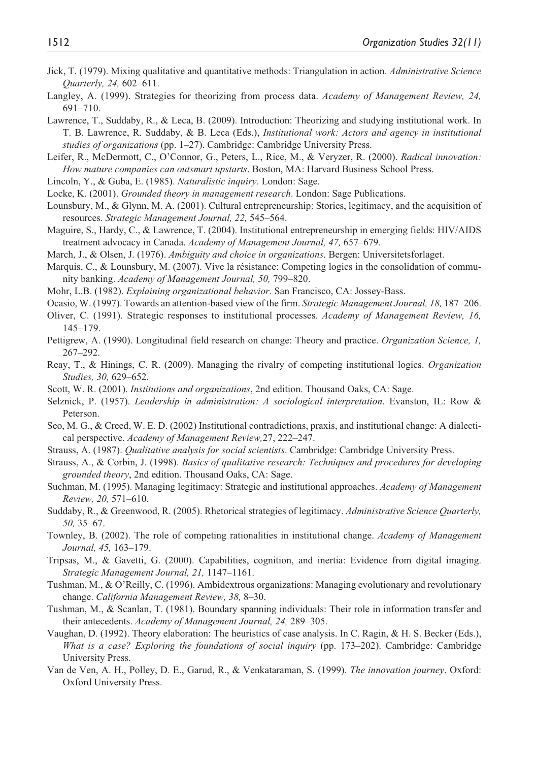- Jick, T. (1979). Mixing qualitative and quantitative methods: Triangulation in action. *Administrative Science Quarterly, 24,* 602–611.
- Langley, A. (1999). Strategies for theorizing from process data. *Academy of Management Review, 24,*  691–710.
- Lawrence, T., Suddaby, R., & Leca, B. (2009). Introduction: Theorizing and studying institutional work. In T. B. Lawrence, R. Suddaby, & B. Leca (Eds.), *Institutional work: Actors and agency in institutional studies of organizations* (pp. 1–27). Cambridge: Cambridge University Press.
- Leifer, R., McDermott, C., O'Connor, G., Peters, L., Rice, M., & Veryzer, R. (2000). *Radical innovation: How mature companies can outsmart upstarts*. Boston, MA: Harvard Business School Press.
- Lincoln, Y., & Guba, E. (1985). *Naturalistic inquiry*. London: Sage.
- Locke, K. (2001). *Grounded theory in management research*. London: Sage Publications.
- Lounsbury, M., & Glynn, M. A. (2001). Cultural entrepreneurship: Stories, legitimacy, and the acquisition of resources. *Strategic Management Journal, 22,* 545–564.
- Maguire, S., Hardy, C., & Lawrence, T. (2004). Institutional entrepreneurship in emerging fields: HIV/AIDS treatment advocacy in Canada. *Academy of Management Journal, 47,* 657–679.
- March, J., & Olsen, J. (1976). *Ambiguity and choice in organizations*. Bergen: Universitetsforlaget.
- Marquis, C., & Lounsbury, M. (2007). Vive la résistance: Competing logics in the consolidation of community banking. *Academy of Management Journal, 50,* 799–820.
- Mohr, L.B. (1982). *Explaining organizational behavior*. San Francisco, CA: Jossey-Bass.
- Ocasio, W. (1997). Towards an attention-based view of the firm. *Strategic Management Journal, 18,* 187–206.
- Oliver, C. (1991). Strategic responses to institutional processes. *Academy of Management Review, 16,* 145–179.
- Pettigrew, A. (1990). Longitudinal field research on change: Theory and practice. *Organization Science, 1,*  267–292.
- Reay, T., & Hinings, C. R. (2009). Managing the rivalry of competing institutional logics. *Organization Studies, 30,* 629–652.
- Scott, W. R. (2001). *Institutions and organizations*, 2nd edition. Thousand Oaks, CA: Sage.
- Selznick, P. (1957). *Leadership in administration: A sociological interpretation*. Evanston, IL: Row & Peterson.
- Seo, M. G., & Creed, W. E. D. (2002) Institutional contradictions, praxis, and institutional change: A dialectical perspective. *Academy of Management Review,*27, 222–247.
- Strauss, A. (1987). *Qualitative analysis for social scientists*. Cambridge: Cambridge University Press.
- Strauss, A., & Corbin, J. (1998). *Basics of qualitative research: Techniques and procedures for developing grounded theory*, 2nd edition. Thousand Oaks, CA: Sage.
- Suchman, M. (1995). Managing legitimacy: Strategic and institutional approaches. *Academy of Management Review, 20,* 571–610.
- Suddaby, R., & Greenwood, R. (2005). Rhetorical strategies of legitimacy. *Administrative Science Quarterly, 50,* 35–67.
- Townley, B. (2002). The role of competing rationalities in institutional change. *Academy of Management Journal, 45,* 163–179.
- Tripsas, M., & Gavetti, G. (2000). Capabilities, cognition, and inertia: Evidence from digital imaging. *Strategic Management Journal, 21,* 1147–1161.
- Tushman, M., & O'Reilly, C. (1996). Ambidextrous organizations: Managing evolutionary and revolutionary change. *California Management Review, 38,* 8–30.
- Tushman, M., & Scanlan, T. (1981). Boundary spanning individuals: Their role in information transfer and their antecedents. *Academy of Management Journal, 24,* 289–305.
- Vaughan, D. (1992). Theory elaboration: The heuristics of case analysis. In C. Ragin, & H. S. Becker (Eds.), *What is a case? Exploring the foundations of social inquiry* (pp. 173–202). Cambridge: Cambridge University Press.
- Van de Ven, A. H., Polley, D. E., Garud, R., & Venkataraman, S. (1999). *The innovation journey*. Oxford: Oxford University Press.